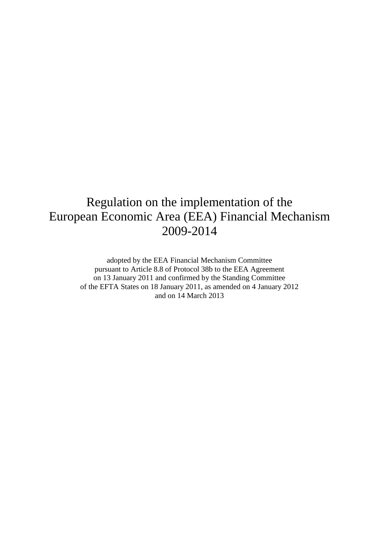# Regulation on the implementation of the European Economic Area (EEA) Financial Mechanism 2009-2014

adopted by the EEA Financial Mechanism Committee pursuant to Article 8.8 of Protocol 38b to the EEA Agreement on 13 January 2011 and confirmed by the Standing Committee of the EFTA States on 18 January 2011, as amended on 4 January 2012 and on 14 March 2013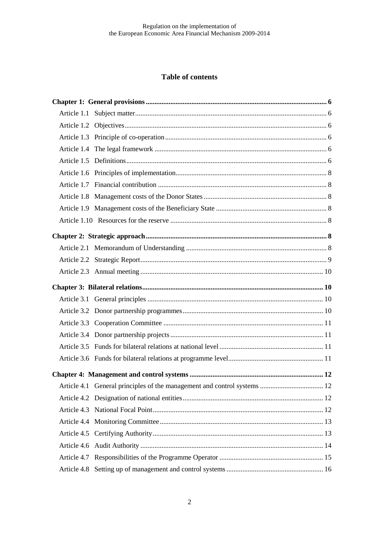# **Table of contents**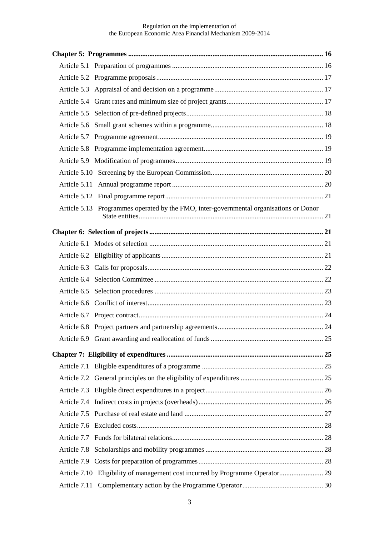#### Regulation on the implementation of the European Economic Area Financial Mechanism 2009-2014

| Article 5.13 Programmes operated by the FMO, inter-governmental organisations or Donor |  |
|----------------------------------------------------------------------------------------|--|
|                                                                                        |  |
|                                                                                        |  |
|                                                                                        |  |
|                                                                                        |  |
|                                                                                        |  |
|                                                                                        |  |
|                                                                                        |  |
|                                                                                        |  |
|                                                                                        |  |
|                                                                                        |  |
|                                                                                        |  |
|                                                                                        |  |
|                                                                                        |  |
|                                                                                        |  |
|                                                                                        |  |
|                                                                                        |  |
|                                                                                        |  |
|                                                                                        |  |
|                                                                                        |  |
|                                                                                        |  |
|                                                                                        |  |
|                                                                                        |  |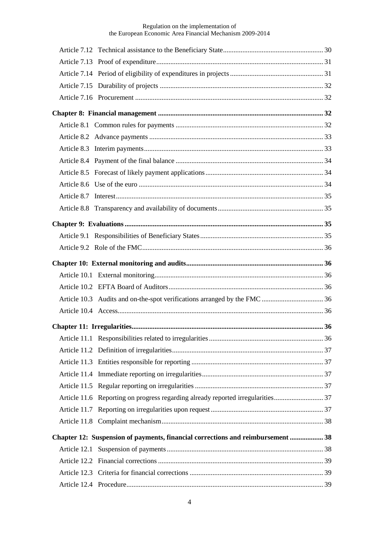Regulation on the implementation of the European Economic Area Financial Mechanism 2009-2014

| Article 11.6 Reporting on progress regarding already reported irregularities 37 |  |
|---------------------------------------------------------------------------------|--|
|                                                                                 |  |
|                                                                                 |  |
| Chapter 12: Suspension of payments, financial corrections and reimbursement  38 |  |
|                                                                                 |  |
|                                                                                 |  |
|                                                                                 |  |
|                                                                                 |  |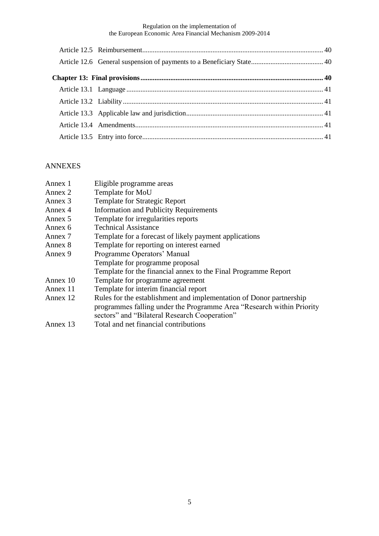Regulation on the implementation of the European Economic Area Financial Mechanism 2009-2014

# ANNEXES

| Annex 1  | Eligible programme areas                                              |
|----------|-----------------------------------------------------------------------|
| Annex 2  | Template for MoU                                                      |
| Annex 3  | Template for Strategic Report                                         |
| Annex 4  | <b>Information and Publicity Requirements</b>                         |
| Annex 5  | Template for irregularities reports                                   |
| Annex 6  | <b>Technical Assistance</b>                                           |
| Annex 7  | Template for a forecast of likely payment applications                |
| Annex 8  | Template for reporting on interest earned                             |
| Annex 9  | Programme Operators' Manual                                           |
|          | Template for programme proposal                                       |
|          | Template for the financial annex to the Final Programme Report        |
| Annex 10 | Template for programme agreement                                      |
| Annex 11 | Template for interim financial report                                 |
| Annex 12 | Rules for the establishment and implementation of Donor partnership   |
|          | programmes falling under the Programme Area "Research within Priority |
|          | sectors" and "Bilateral Research Cooperation"                         |

Annex 13 Total and net financial contributions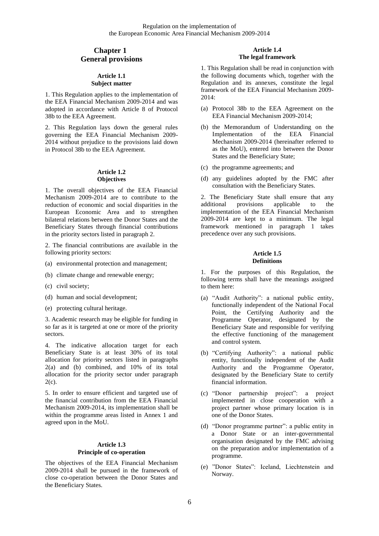# <span id="page-5-0"></span>**Chapter 1: General provisions**

#### **Article 1.1 Subject matter**

<span id="page-5-1"></span>1. This Regulation applies to the implementation of the EEA Financial Mechanism 2009-2014 and was adopted in accordance with Article 8 of Protocol 38b to the EEA Agreement.

2. This Regulation lays down the general rules governing the EEA Financial Mechanism 2009- 2014 without prejudice to the provisions laid down in Protocol 38b to the EEA Agreement.

#### **Article 1.2 Objectives**

<span id="page-5-2"></span>1. The overall objectives of the EEA Financial Mechanism 2009-2014 are to contribute to the reduction of economic and social disparities in the European Economic Area and to strengthen bilateral relations between the Donor States and the Beneficiary States through financial contributions in the priority sectors listed in paragraph 2.

2. The financial contributions are available in the following priority sectors:

- (a) environmental protection and management;
- (b) climate change and renewable energy;
- (c) civil society;
- (d) human and social development;
- (e) protecting cultural heritage.

3. Academic research may be eligible for funding in so far as it is targeted at one or more of the priority sectors.

4. The indicative allocation target for each Beneficiary State is at least 30% of its total allocation for priority sectors listed in paragraphs 2(a) and (b) combined, and 10% of its total allocation for the priority sector under paragraph  $2(c)$ .

5. In order to ensure efficient and targeted use of the financial contribution from the EEA Financial Mechanism 2009-2014, its implementation shall be within the programme areas listed in Annex 1 and agreed upon in the MoU.

#### **Article 1.3**

# **Principle of co-operation**

<span id="page-5-3"></span>The objectives of the EEA Financial Mechanism 2009-2014 shall be pursued in the framework of close co-operation between the Donor States and the Beneficiary States.

#### **Article 1.4 The legal framework**

<span id="page-5-4"></span>1. This Regulation shall be read in conjunction with the following documents which, together with the Regulation and its annexes, constitute the legal framework of the EEA Financial Mechanism 2009- 2014:

- (a) Protocol 38b to the EEA Agreement on the EEA Financial Mechanism 2009-2014;
- (b) the Memorandum of Understanding on the Implementation of the EEA Financial Mechanism 2009-2014 (hereinafter referred to as the MoU), entered into between the Donor States and the Beneficiary State;
- (c) the programme agreements; and
- (d) any guidelines adopted by the FMC after consultation with the Beneficiary States.

2. The Beneficiary State shall ensure that any additional provisions applicable to the implementation of the EEA Financial Mechanism 2009-2014 are kept to a minimum. The legal framework mentioned in paragraph 1 takes precedence over any such provisions.

### **Article 1.5 Definitions**

<span id="page-5-5"></span>1. For the purposes of this Regulation, the following terms shall have the meanings assigned to them here:

- (a) "Audit Authority": a national public entity, functionally independent of the National Focal Point, the Certifying Authority and the Programme Operator, designated by the Beneficiary State and responsible for verifying the effective functioning of the management and control system.
- (b) "Certifying Authority": a national public entity, functionally independent of the Audit Authority and the Programme Operator, designated by the Beneficiary State to certify financial information.
- (c) "Donor partnership project": a project implemented in close cooperation with a project partner whose primary location is in one of the Donor States.
- (d) "Donor programme partner": a public entity in a Donor State or an inter-governmental organisation designated by the FMC advising on the preparation and/or implementation of a programme.
- (e) "Donor States": Iceland, Liechtenstein and Norway.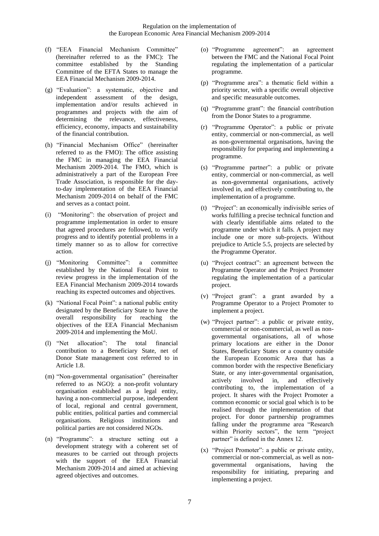- (f) "EEA Financial Mechanism Committee" (hereinafter referred to as the FMC): The committee established by the Standing Committee of the EFTA States to manage the EEA Financial Mechanism 2009-2014.
- (g) "Evaluation": a systematic, objective and independent assessment of the design, implementation and/or results achieved in programmes and projects with the aim of determining the relevance, effectiveness, efficiency, economy, impacts and sustainability of the financial contribution.
- (h) "Financial Mechanism Office" (hereinafter referred to as the FMO): The office assisting the FMC in managing the EEA Financial Mechanism 2009-2014. The FMO, which is administratively a part of the European Free Trade Association, is responsible for the dayto-day implementation of the EEA Financial Mechanism 2009-2014 on behalf of the FMC and serves as a contact point.
- (i) "Monitoring": the observation of project and programme implementation in order to ensure that agreed procedures are followed, to verify progress and to identify potential problems in a timely manner so as to allow for corrective action.
- (j) "Monitoring Committee": a committee established by the National Focal Point to review progress in the implementation of the EEA Financial Mechanism 2009-2014 towards reaching its expected outcomes and objectives.
- (k) "National Focal Point": a national public entity designated by the Beneficiary State to have the overall responsibility for reaching the objectives of the EEA Financial Mechanism 2009-2014 and implementing the MoU.
- (l) "Net allocation": The total financial contribution to a Beneficiary State, net of Donor State management cost referred to in Article 1.8.
- (m) "Non-governmental organisation" (hereinafter referred to as NGO): a non-profit voluntary organisation established as a legal entity, having a non-commercial purpose, independent of local, regional and central government, public entities, political parties and commercial organisations. Religious institutions and political parties are not considered NGOs.
- (n) "Programme": a structure setting out a development strategy with a coherent set of measures to be carried out through projects with the support of the EEA Financial Mechanism 2009-2014 and aimed at achieving agreed objectives and outcomes.
- (o) "Programme agreement": an agreement between the FMC and the National Focal Point regulating the implementation of a particular programme.
- (p) "Programme area": a thematic field within a priority sector, with a specific overall objective and specific measurable outcomes.
- (q) "Programme grant": the financial contribution from the Donor States to a programme.
- (r) "Programme Operator": a public or private entity, commercial or non-commercial, as well as non-governmental organisations, having the responsibility for preparing and implementing a programme.
- (s) "Programme partner": a public or private entity, commercial or non-commercial, as well as non-governmental organisations, actively involved in, and effectively contributing to, the implementation of a programme.
- (t) "Project": an economically indivisible series of works fulfilling a precise technical function and with clearly identifiable aims related to the programme under which it falls. A project may include one or more sub-projects. Without prejudice to Article 5.5, projects are selected by the Programme Operator.
- (u) "Project contract": an agreement between the Programme Operator and the Project Promoter regulating the implementation of a particular project.
- (v) "Project grant": a grant awarded by a Programme Operator to a Project Promoter to implement a project.
- (w) "Project partner": a public or private entity, commercial or non-commercial, as well as nongovernmental organisations, all of whose primary locations are either in the Donor States, Beneficiary States or a country outside the European Economic Area that has a common border with the respective Beneficiary State, or any inter-governmental organisation, actively involved in, and effectively contributing to, the implementation of a project. It shares with the Project Promoter a common economic or social goal which is to be realised through the implementation of that project. For donor partnership programmes falling under the programme area "Research within Priority sectors", the term "project partner" is defined in the Annex 12.
- (x) "Project Promoter": a public or private entity, commercial or non-commercial, as well as nongovernmental organisations, having the responsibility for initiating, preparing and implementing a project.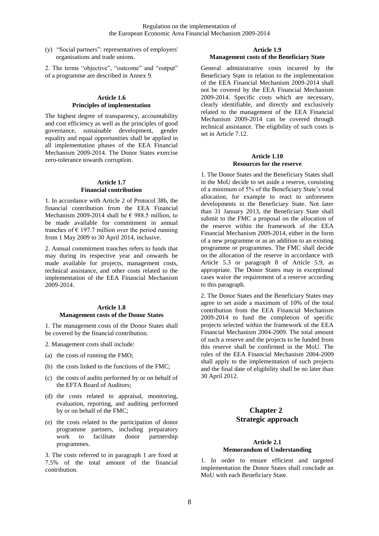- (y) "Social partners": representatives of employers' organisations and trade unions.
- 2. The terms "objective", "outcome" and "output" of a programme are described in Annex 9.

#### **Article 1.6 Principles of implementation**

<span id="page-7-0"></span>The highest degree of transparency, accountability and cost efficiency as well as the principles of good governance, sustainable development, gender equality and equal opportunities shall be applied in all implementation phases of the EEA Financial Mechanism 2009-2014. The Donor States exercise zero-tolerance towards corruption.

#### **Article 1.7 Financial contribution**

<span id="page-7-1"></span>1. In accordance with Article 2 of Protocol 38b, the financial contribution from the EEA Financial Mechanism 2009-2014 shall be  $\epsilon$  988.5 million, to be made available for commitment in annual tranches of  $\epsilon$  197.7 million over the period running from 1 May 2009 to 30 April 2014, inclusive.

2. Annual commitment tranches refers to funds that may during its respective year and onwards be made available for projects, management costs, technical assistance, and other costs related to the implementation of the EEA Financial Mechanism 2009-2014.

#### <span id="page-7-2"></span>**Article 1.8 Management costs of the Donor States**

1. The management costs of the Donor States shall be covered by the financial contribution.

- 2. Management costs shall include:
- (a) the costs of running the FMO;
- (b) the costs linked to the functions of the FMC;
- (c) the costs of audits performed by or on behalf of the EFTA Board of Auditors;
- (d) the costs related to appraisal, monitoring, evaluation, reporting, and auditing performed by or on behalf of the FMC;
- (e) the costs related to the participation of donor programme partners, including preparatory work to facilitate donor partnership programmes.

3. The costs referred to in paragraph 1 are fixed at 7.5% of the total amount of the financial contribution.

#### <span id="page-7-3"></span>**Article 1.9 Management costs of the Beneficiary State**

General administrative costs incurred by the Beneficiary State in relation to the implementation of the EEA Financial Mechanism 2009-2014 shall not be covered by the EEA Financial Mechanism 2009-2014. Specific costs which are necessary, clearly identifiable, and directly and exclusively related to the management of the EEA Financial Mechanism 2009-2014 can be covered through technical assistance. The eligibility of such costs is set in Article 7.12.

#### **Article 1.10 Resources for the reserve**

<span id="page-7-4"></span>1. The Donor States and the Beneficiary States shall in the MoU decide to set aside a reserve, consisting of a minimum of 5% of the Beneficiary State's total allocation, for example to react to unforeseen developments in the Beneficiary State. Not later than 31 January 2013, the Beneficiary State shall submit to the FMC a proposal on the allocation of the reserve within the framework of the EEA Financial Mechanism 2009-2014, either in the form of a new programme or as an addition to an existing programme or programmes. The FMC shall decide on the allocation of the reserve in accordance with Article 5.3 or paragraph 8 of Article 5.9, as appropriate. The Donor States may in exceptional cases waive the requirement of a reserve according to this paragraph.

2. The Donor States and the Beneficiary States may agree to set aside a maximum of 10% of the total contribution from the EEA Financial Mechanism 2009-2014 to fund the completion of specific projects selected within the framework of the EEA Financial Mechanism 2004-2009. The total amount of such a reserve and the projects to be funded from this reserve shall be confirmed in the MoU. The rules of the EEA Financial Mechanism 2004-2009 shall apply to the implementation of such projects and the final date of eligibility shall be no later than 30 April 2012.

# <span id="page-7-5"></span>**Chapter 2: Strategic approach**

#### **Article 2.1 Memorandum of Understanding**

<span id="page-7-6"></span>1. In order to ensure efficient and targeted implementation the Donor States shall conclude an MoU with each Beneficiary State.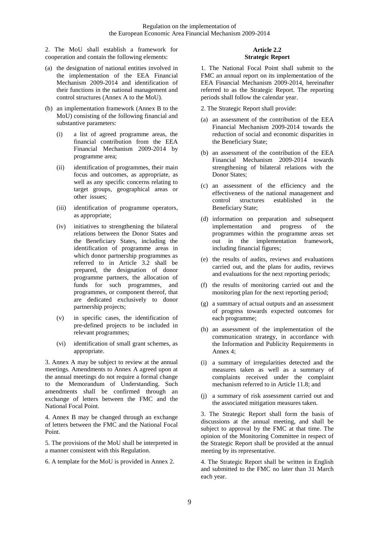2. The MoU shall establish a framework for cooperation and contain the following elements:

- (a) the designation of national entities involved in the implementation of the EEA Financial Mechanism 2009-2014 and identification of their functions in the national management and control structures (Annex A to the MoU).
- (b) an implementation framework (Annex B to the MoU) consisting of the following financial and substantive parameters:
	- (i) a list of agreed programme areas, the financial contribution from the EEA Financial Mechanism 2009-2014 by programme area;
	- (ii) identification of programmes, their main focus and outcomes, as appropriate, as well as any specific concerns relating to target groups, geographical areas or other issues;
	- (iii) identification of programme operators, as appropriate;
	- (iv) initiatives to strengthening the bilateral relations between the Donor States and the Beneficiary States, including the identification of programme areas in which donor partnership programmes as referred to in Article 3.2 shall be prepared, the designation of donor programme partners, the allocation of funds for such programmes, and programmes, or component thereof, that are dedicated exclusively to donor partnership projects;
	- (v) in specific cases, the identification of pre-defined projects to be included in relevant programmes;
	- (vi) identification of small grant schemes, as appropriate.

3. Annex A may be subject to review at the annual meetings. Amendments to Annex A agreed upon at the annual meetings do not require a formal change to the Memorandum of Understanding. Such amendments shall be confirmed through an exchange of letters between the FMC and the National Focal Point.

4. Annex B may be changed through an exchange of letters between the FMC and the National Focal Point.

5. The provisions of the MoU shall be interpreted in a manner consistent with this Regulation.

6. A template for the MoU is provided in Annex 2.

#### **Article 2.2 Strategic Report**

<span id="page-8-0"></span>1. The National Focal Point shall submit to the FMC an annual report on its implementation of the EEA Financial Mechanism 2009-2014, hereinafter referred to as the Strategic Report. The reporting periods shall follow the calendar year.

- 2. The Strategic Report shall provide:
- (a) an assessment of the contribution of the EEA Financial Mechanism 2009-2014 towards the reduction of social and economic disparities in the Beneficiary State;
- (b) an assessment of the contribution of the EEA Financial Mechanism 2009-2014 towards strengthening of bilateral relations with the Donor States;
- (c) an assessment of the efficiency and the effectiveness of the national management and<br>control structures established in the established in the Beneficiary State;
- (d) information on preparation and subsequent<br>implementation and progress of the implementation and progress of the programmes within the programme areas set out in the implementation framework, including financial figures;
- (e) the results of audits, reviews and evaluations carried out, and the plans for audits, reviews and evaluations for the next reporting periods;
- (f) the results of monitoring carried out and the monitoring plan for the next reporting period;
- (g) a summary of actual outputs and an assessment of progress towards expected outcomes for each programme;
- (h) an assessment of the implementation of the communication strategy, in accordance with the Information and Publicity Requirements in Annex 4;
- (i) a summary of irregularities detected and the measures taken as well as a summary of complaints received under the complaint mechanism referred to in Article 11.8; and
- (j) a summary of risk assessment carried out and the associated mitigation measures taken.

3. The Strategic Report shall form the basis of discussions at the annual meeting, and shall be subject to approval by the FMC at that time. The opinion of the Monitoring Committee in respect of the Strategic Report shall be provided at the annual meeting by its representative.

4. The Strategic Report shall be written in English and submitted to the FMC no later than 31 March each year.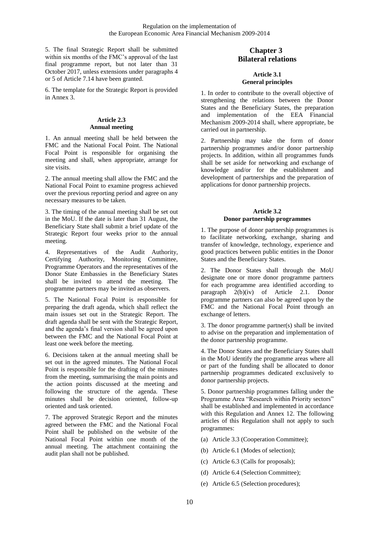5. The final Strategic Report shall be submitted within six months of the FMC's approval of the last final programme report, but not later than 31 October 2017, unless extensions under paragraphs 4 or 5 of Article 7.14 have been granted.

6. The template for the Strategic Report is provided in Annex 3.

### **Article 2.3 Annual meeting**

<span id="page-9-0"></span>1. An annual meeting shall be held between the FMC and the National Focal Point. The National Focal Point is responsible for organising the meeting and shall, when appropriate, arrange for site visits.

2. The annual meeting shall allow the FMC and the National Focal Point to examine progress achieved over the previous reporting period and agree on any necessary measures to be taken.

3. The timing of the annual meeting shall be set out in the MoU. If the date is later than 31 August, the Beneficiary State shall submit a brief update of the Strategic Report four weeks prior to the annual meeting.

4. Representatives of the Audit Authority, Certifying Authority, Monitoring Committee, Programme Operators and the representatives of the Donor State Embassies in the Beneficiary States shall be invited to attend the meeting. The programme partners may be invited as observers.

5. The National Focal Point is responsible for preparing the draft agenda, which shall reflect the main issues set out in the Strategic Report. The draft agenda shall be sent with the Strategic Report, and the agenda's final version shall be agreed upon between the FMC and the National Focal Point at least one week before the meeting.

6. Decisions taken at the annual meeting shall be set out in the agreed minutes. The National Focal Point is responsible for the drafting of the minutes from the meeting, summarising the main points and the action points discussed at the meeting and following the structure of the agenda. These minutes shall be decision oriented, follow-up oriented and task oriented.

7. The approved Strategic Report and the minutes agreed between the FMC and the National Focal Point shall be published on the website of the National Focal Point within one month of the annual meeting. The attachment containing the audit plan shall not be published.

# <span id="page-9-1"></span>**Chapter 3: Bilateral relations**

# **Article 3.1 General principles**

<span id="page-9-2"></span>1. In order to contribute to the overall objective of strengthening the relations between the Donor States and the Beneficiary States, the preparation and implementation of the EEA Financial Mechanism 2009-2014 shall, where appropriate, be carried out in partnership.

2. Partnership may take the form of donor partnership programmes and/or donor partnership projects. In addition, within all programmes funds shall be set aside for networking and exchange of knowledge and/or for the establishment and development of partnerships and the preparation of applications for donor partnership projects.

# **Article 3.2 Donor partnership programmes**

<span id="page-9-3"></span>1. The purpose of donor partnership programmes is to facilitate networking, exchange, sharing and transfer of knowledge, technology, experience and good practices between public entities in the Donor States and the Beneficiary States.

2. The Donor States shall through the MoU designate one or more donor programme partners for each programme area identified according to paragraph 2(b)(iv) of Article 2.1. Donor programme partners can also be agreed upon by the FMC and the National Focal Point through an exchange of letters.

3. The donor programme partner(s) shall be invited to advise on the preparation and implementation of the donor partnership programme.

4. The Donor States and the Beneficiary States shall in the MoU identify the programme areas where all or part of the funding shall be allocated to donor partnership programmes dedicated exclusively to donor partnership projects.

5. Donor partnership programmes falling under the Programme Area "Research within Priority sectors" shall be established and implemented in accordance with this Regulation and Annex 12. The following articles of this Regulation shall not apply to such programmes:

- (a) Article 3.3 (Cooperation Committee);
- (b) Article 6.1 (Modes of selection);
- (c) Article 6.3 (Calls for proposals);
- (d) Article 6.4 (Selection Committee);
- (e) Article 6.5 (Selection procedures);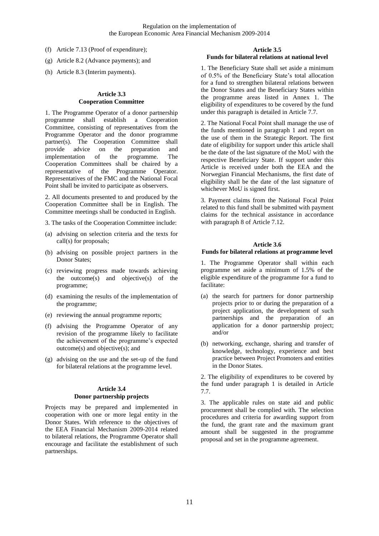- (f) Article 7.13 (Proof of expenditure);
- (g) Article 8.2 (Advance payments); and
- (h) Article 8.3 (Interim payments).

#### **Article 3.3 Cooperation Committee**

<span id="page-10-0"></span>1. The Programme Operator of a donor partnership programme shall establish a Cooperation Committee, consisting of representatives from the Programme Operator and the donor programme partner(s). The Cooperation Committee shall provide advice on the preparation and provide advice on the preparation and implementation of the programme. The Cooperation Committees shall be chaired by a representative of the Programme Operator. Representatives of the FMC and the National Focal Point shall be invited to participate as observers.

2. All documents presented to and produced by the Cooperation Committee shall be in English. The Committee meetings shall be conducted in English.

3. The tasks of the Cooperation Committee include:

- (a) advising on selection criteria and the texts for call(s) for proposals;
- (b) advising on possible project partners in the Donor States;
- (c) reviewing progress made towards achieving the outcome(s) and objective(s) of the programme;
- (d) examining the results of the implementation of the programme;
- (e) reviewing the annual programme reports;
- (f) advising the Programme Operator of any revision of the programme likely to facilitate the achievement of the programme's expected outcome(s) and objective(s); and
- (g) advising on the use and the set-up of the fund for bilateral relations at the programme level.

# **Article 3.4 Donor partnership projects**

<span id="page-10-1"></span>Projects may be prepared and implemented in cooperation with one or more legal entity in the Donor States. With reference to the objectives of the EEA Financial Mechanism 2009-2014 related to bilateral relations, the Programme Operator shall encourage and facilitate the establishment of such partnerships.

# <span id="page-10-2"></span>**Article 3.5 Funds for bilateral relations at national level**

1. The Beneficiary State shall set aside a minimum of 0.5% of the Beneficiary State's total allocation for a fund to strengthen bilateral relations between the Donor States and the Beneficiary States within the programme areas listed in Annex 1. The eligibility of expenditures to be covered by the fund under this paragraph is detailed in Article 7.7.

2. The National Focal Point shall manage the use of the funds mentioned in paragraph 1 and report on the use of them in the Strategic Report. The first date of eligibility for support under this article shall be the date of the last signature of the MoU with the respective Beneficiary State. If support under this Article is received under both the EEA and the Norwegian Financial Mechanisms, the first date of eligibility shall be the date of the last signature of whichever MoU is signed first.

3. Payment claims from the National Focal Point related to this fund shall be submitted with payment claims for the technical assistance in accordance with paragraph 8 of Article 7.12.

# **Article 3.6**

# <span id="page-10-3"></span>**Funds for bilateral relations at programme level**

1. The Programme Operator shall within each programme set aside a minimum of 1.5% of the eligible expenditure of the programme for a fund to facilitate:

- (a) the search for partners for donor partnership projects prior to or during the preparation of a project application, the development of such partnerships and the preparation of an application for a donor partnership project; and/or
- (b) networking, exchange, sharing and transfer of knowledge, technology, experience and best practice between Project Promoters and entities in the Donor States.

2. The eligibility of expenditures to be covered by the fund under paragraph 1 is detailed in Article 7.7.

3. The applicable rules on state aid and public procurement shall be complied with. The selection procedures and criteria for awarding support from the fund, the grant rate and the maximum grant amount shall be suggested in the programme proposal and set in the programme agreement.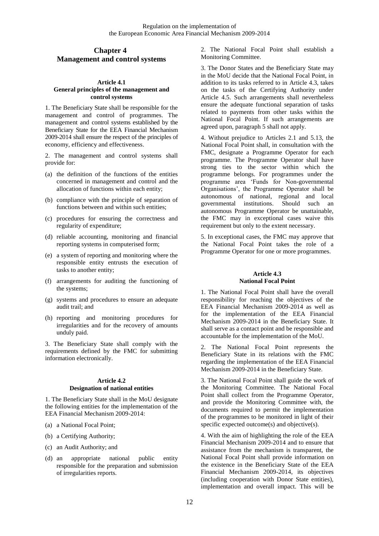# <span id="page-11-0"></span>**Chapter 4: Management and control systems**

#### <span id="page-11-1"></span>**Article 4.1 General principles of the management and control systems**

1. The Beneficiary State shall be responsible for the management and control of programmes. The management and control systems established by the Beneficiary State for the EEA Financial Mechanism 2009-2014 shall ensure the respect of the principles of economy, efficiency and effectiveness.

2. The management and control systems shall provide for:

- (a) the definition of the functions of the entities concerned in management and control and the allocation of functions within each entity;
- (b) compliance with the principle of separation of functions between and within such entities;
- (c) procedures for ensuring the correctness and regularity of expenditure;
- (d) reliable accounting, monitoring and financial reporting systems in computerised form;
- (e) a system of reporting and monitoring where the responsible entity entrusts the execution of tasks to another entity;
- (f) arrangements for auditing the functioning of the systems;
- (g) systems and procedures to ensure an adequate audit trail; and
- (h) reporting and monitoring procedures for irregularities and for the recovery of amounts unduly paid.

3. The Beneficiary State shall comply with the requirements defined by the FMC for submitting information electronically.

#### **Article 4.2 Designation of national entities**

<span id="page-11-2"></span>1. The Beneficiary State shall in the MoU designate the following entities for the implementation of the EEA Financial Mechanism 2009-2014:

- (a) a National Focal Point;
- (b) a Certifying Authority;
- (c) an Audit Authority; and
- (d) an appropriate national public entity responsible for the preparation and submission of irregularities reports.

2. The National Focal Point shall establish a Monitoring Committee.

3. The Donor States and the Beneficiary State may in the MoU decide that the National Focal Point, in addition to its tasks referred to in Article 4.3, takes on the tasks of the Certifying Authority under Article 4.5. Such arrangements shall nevertheless ensure the adequate functional separation of tasks related to payments from other tasks within the National Focal Point. If such arrangements are agreed upon, paragraph 5 shall not apply.

4. Without prejudice to Articles 2.1 and 5.13, the National Focal Point shall, in consultation with the FMC, designate a Programme Operator for each programme. The Programme Operator shall have strong ties to the sector within which the programme belongs. For programmes under the programme area 'Funds for Non-governmental Organisations', the Programme Operator shall be autonomous of national, regional and local governmental institutions. Should such an autonomous Programme Operator be unattainable, the FMC may in exceptional cases waive this requirement but only to the extent necessary.

5. In exceptional cases, the FMC may approve that the National Focal Point takes the role of a Programme Operator for one or more programmes.

#### **Article 4.3 National Focal Point**

<span id="page-11-3"></span>1. The National Focal Point shall have the overall responsibility for reaching the objectives of the EEA Financial Mechanism 2009-2014 as well as for the implementation of the EEA Financial Mechanism 2009-2014 in the Beneficiary State. It shall serve as a contact point and be responsible and accountable for the implementation of the MoU.

2. The National Focal Point represents the Beneficiary State in its relations with the FMC regarding the implementation of the EEA Financial Mechanism 2009-2014 in the Beneficiary State.

3. The National Focal Point shall guide the work of the Monitoring Committee. The National Focal Point shall collect from the Programme Operator, and provide the Monitoring Committee with, the documents required to permit the implementation of the programmes to be monitored in light of their specific expected outcome(s) and objective(s).

4. With the aim of highlighting the role of the EEA Financial Mechanism 2009-2014 and to ensure that assistance from the mechanism is transparent, the National Focal Point shall provide information on the existence in the Beneficiary State of the EEA Financial Mechanism 2009-2014, its objectives (including cooperation with Donor State entities), implementation and overall impact. This will be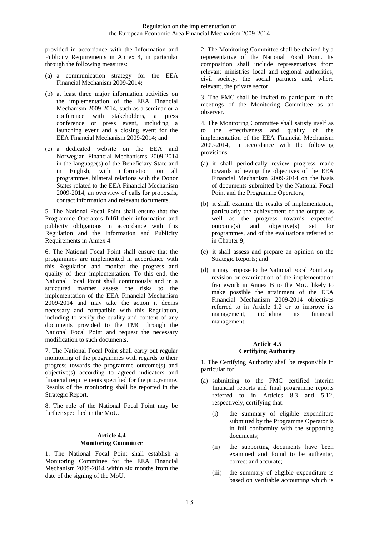provided in accordance with the Information and Publicity Requirements in Annex 4, in particular through the following measures:

- (a) a communication strategy for the EEA Financial Mechanism 2009-2014;
- (b) at least three major information activities on the implementation of the EEA Financial Mechanism 2009-2014, such as a seminar or a conference with stakeholders, a press conference or press event, including a launching event and a closing event for the EEA Financial Mechanism 2009-2014; and
- (c) a dedicated website on the EEA and Norwegian Financial Mechanisms 2009-2014 in the language(s) of the Beneficiary State and in English, with information on all programmes, bilateral relations with the Donor States related to the EEA Financial Mechanism 2009-2014, an overview of calls for proposals, contact information and relevant documents.

5. The National Focal Point shall ensure that the Programme Operators fulfil their information and publicity obligations in accordance with this Regulation and the Information and Publicity Requirements in Annex 4.

6. The National Focal Point shall ensure that the programmes are implemented in accordance with this Regulation and monitor the progress and quality of their implementation. To this end, the National Focal Point shall continuously and in a structured manner assess the risks to the implementation of the EEA Financial Mechanism 2009-2014 and may take the action it deems necessary and compatible with this Regulation, including to verify the quality and content of any documents provided to the FMC through the National Focal Point and request the necessary modification to such documents.

7. The National Focal Point shall carry out regular monitoring of the programmes with regards to their progress towards the programme outcome(s) and objective(s) according to agreed indicators and financial requirements specified for the programme. Results of the monitoring shall be reported in the Strategic Report.

8. The role of the National Focal Point may be further specified in the MoU.

# **Article 4.4 Monitoring Committee**

<span id="page-12-0"></span>1. The National Focal Point shall establish a Monitoring Committee for the EEA Financial Mechanism 2009-2014 within six months from the date of the signing of the MoU.

2. The Monitoring Committee shall be chaired by a representative of the National Focal Point. Its composition shall include representatives from relevant ministries local and regional authorities, civil society, the social partners and, where relevant, the private sector.

3. The FMC shall be invited to participate in the meetings of the Monitoring Committee as an observer.

4. The Monitoring Committee shall satisfy itself as to the effectiveness and quality of the implementation of the EEA Financial Mechanism 2009-2014, in accordance with the following provisions:

- (a) it shall periodically review progress made towards achieving the objectives of the EEA Financial Mechanism 2009-2014 on the basis of documents submitted by the National Focal Point and the Programme Operators;
- (b) it shall examine the results of implementation, particularly the achievement of the outputs as well as the progress towards expected<br>outcome(s) and objective(s) set for  $objective(s)$  set for programmes, and of the evaluations referred to in Chapter 9;
- (c) it shall assess and prepare an opinion on the Strategic Reports; and
- (d) it may propose to the National Focal Point any revision or examination of the implementation framework in Annex B to the MoU likely to make possible the attainment of the EEA Financial Mechanism 2009-2014 objectives referred to in Article 1.2 or to improve its management, including its financial management.

#### **Article 4.5 Certifying Authority**

<span id="page-12-1"></span>1. The Certifying Authority shall be responsible in particular for:

- (a) submitting to the FMC certified interim financial reports and final programme reports referred to in Articles 8.3 and 5.12, respectively, certifying that:
	- (i) the summary of eligible expenditure submitted by the Programme Operator is in full conformity with the supporting documents;
	- (ii) the supporting documents have been examined and found to be authentic, correct and accurate;
	- (iii) the summary of eligible expenditure is based on verifiable accounting which is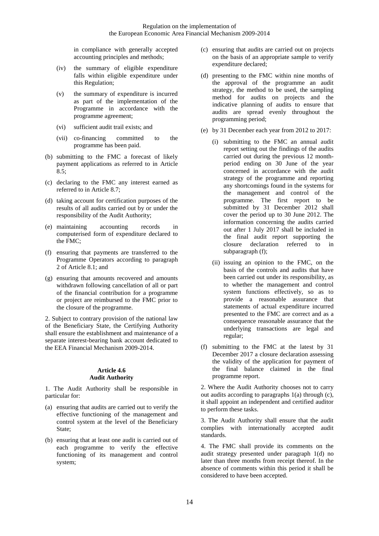in compliance with generally accepted accounting principles and methods;

- (iv) the summary of eligible expenditure falls within eligible expenditure under this Regulation;
- (v) the summary of expenditure is incurred as part of the implementation of the Programme in accordance with the programme agreement;
- (vi) sufficient audit trail exists; and
- (vii) co-financing committed to the programme has been paid.
- (b) submitting to the FMC a forecast of likely payment applications as referred to in Article 8.5;
- (c) declaring to the FMC any interest earned as referred to in Article 8.7;
- (d) taking account for certification purposes of the results of all audits carried out by or under the responsibility of the Audit Authority;
- (e) maintaining accounting records in computerised form of expenditure declared to the FMC;
- (f) ensuring that payments are transferred to the Programme Operators according to paragraph 2 of Article 8.1; and
- (g) ensuring that amounts recovered and amounts withdrawn following cancellation of all or part of the financial contribution for a programme or project are reimbursed to the FMC prior to the closure of the programme.

2. Subject to contrary provision of the national law of the Beneficiary State, the Certifying Authority shall ensure the establishment and maintenance of a separate interest-bearing bank account dedicated to the EEA Financial Mechanism 2009-2014.

#### **Article 4.6 Audit Authority**

<span id="page-13-0"></span>1. The Audit Authority shall be responsible in particular for:

- (a) ensuring that audits are carried out to verify the effective functioning of the management and control system at the level of the Beneficiary State;
- (b) ensuring that at least one audit is carried out of each programme to verify the effective functioning of its management and control system;
- (c) ensuring that audits are carried out on projects on the basis of an appropriate sample to verify expenditure declared;
- (d) presenting to the FMC within nine months of the approval of the programme an audit strategy, the method to be used, the sampling method for audits on projects and the indicative planning of audits to ensure that audits are spread evenly throughout the programming period;
- (e) by 31 December each year from 2012 to 2017:
	- (i) submitting to the FMC an annual audit report setting out the findings of the audits carried out during the previous 12 monthperiod ending on 30 June of the year concerned in accordance with the audit strategy of the programme and reporting any shortcomings found in the systems for the management and control of the programme. The first report to be submitted by 31 December 2012 shall cover the period up to 30 June 2012. The information concerning the audits carried out after 1 July 2017 shall be included in the final audit report supporting the closure declaration referred to in subparagraph (f);
	- (ii) issuing an opinion to the FMC, on the basis of the controls and audits that have been carried out under its responsibility, as to whether the management and control system functions effectively, so as to provide a reasonable assurance that statements of actual expenditure incurred presented to the FMC are correct and as a consequence reasonable assurance that the underlying transactions are legal and regular;
- (f) submitting to the FMC at the latest by 31 December 2017 a closure declaration assessing the validity of the application for payment of the final balance claimed in the final programme report.

2. Where the Audit Authority chooses not to carry out audits according to paragraphs 1(a) through (c), it shall appoint an independent and certified auditor to perform these tasks.

3. The Audit Authority shall ensure that the audit complies with internationally accepted audit standards.

4. The FMC shall provide its comments on the audit strategy presented under paragraph 1(d) no later than three months from receipt thereof. In the absence of comments within this period it shall be considered to have been accepted.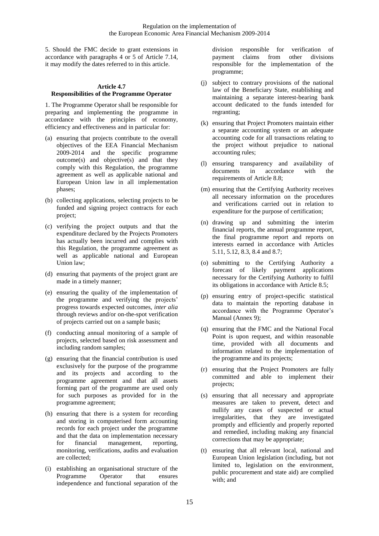5. Should the FMC decide to grant extensions in accordance with paragraphs 4 or 5 of Article 7.14, it may modify the dates referred to in this article.

#### **Article 4.7**

# <span id="page-14-0"></span>**Responsibilities of the Programme Operator**

1. The Programme Operator shall be responsible for preparing and implementing the programme in accordance with the principles of economy, efficiency and effectiveness and in particular for:

- (a) ensuring that projects contribute to the overall objectives of the EEA Financial Mechanism 2009-2014 and the specific programme outcome(s) and objective(s) and that they comply with this Regulation, the programme agreement as well as applicable national and European Union law in all implementation phases;
- (b) collecting applications, selecting projects to be funded and signing project contracts for each project;
- (c) verifying the project outputs and that the expenditure declared by the Projects Promoters has actually been incurred and complies with this Regulation, the programme agreement as well as applicable national and European Union law;
- (d) ensuring that payments of the project grant are made in a timely manner;
- (e) ensuring the quality of the implementation of the programme and verifying the projects' progress towards expected outcomes, *inter alia* through reviews and/or on-the-spot verification of projects carried out on a sample basis;
- (f) conducting annual monitoring of a sample of projects, selected based on risk assessment and including random samples;
- (g) ensuring that the financial contribution is used exclusively for the purpose of the programme and its projects and according to the programme agreement and that all assets forming part of the programme are used only for such purposes as provided for in the programme agreement;
- (h) ensuring that there is a system for recording and storing in computerised form accounting records for each project under the programme and that the data on implementation necessary for financial management, reporting, monitoring, verifications, audits and evaluation are collected;
- (i) establishing an organisational structure of the Programme Operator that ensures independence and functional separation of the

division responsible for verification of payment claims from other divisions responsible for the implementation of the programme;

- (j) subject to contrary provisions of the national law of the Beneficiary State, establishing and maintaining a separate interest-bearing bank account dedicated to the funds intended for regranting;
- (k) ensuring that Project Promoters maintain either a separate accounting system or an adequate accounting code for all transactions relating to the project without prejudice to national accounting rules;
- (l) ensuring transparency and availability of documents in accordance with the requirements of Article 8.8;
- (m) ensuring that the Certifying Authority receives all necessary information on the procedures and verifications carried out in relation to expenditure for the purpose of certification;
- (n) drawing up and submitting the interim financial reports, the annual programme report, the final programme report and reports on interests earned in accordance with Articles 5.11, 5.12, 8.3, 8.4 and 8.7;
- (o) submitting to the Certifying Authority a forecast of likely payment applications necessary for the Certifying Authority to fulfil its obligations in accordance with Article 8.5;
- (p) ensuring entry of project-specific statistical data to maintain the reporting database in accordance with the Programme Operator's Manual (Annex 9);
- (q) ensuring that the FMC and the National Focal Point is upon request, and within reasonable time, provided with all documents and information related to the implementation of the programme and its projects;
- (r) ensuring that the Project Promoters are fully committed and able to implement their projects;
- (s) ensuring that all necessary and appropriate measures are taken to prevent, detect and nullify any cases of suspected or actual irregularities, that they are investigated promptly and efficiently and properly reported and remedied, including making any financial corrections that may be appropriate;
- (t) ensuring that all relevant local, national and European Union legislation (including, but not limited to, legislation on the environment, public procurement and state aid) are complied with; and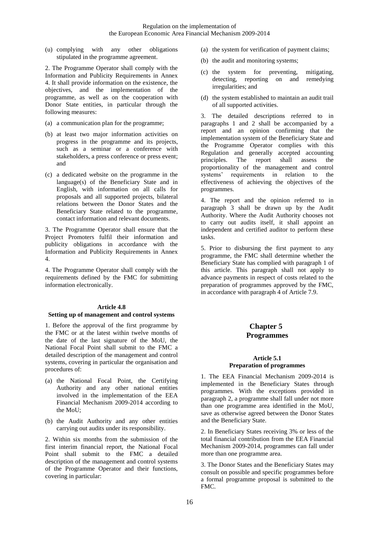(u) complying with any other obligations stipulated in the programme agreement.

2. The Programme Operator shall comply with the Information and Publicity Requirements in Annex 4. It shall provide information on the existence, the objectives, and the implementation of the programme, as well as on the cooperation with Donor State entities, in particular through the following measures:

- (a) a communication plan for the programme;
- (b) at least two major information activities on progress in the programme and its projects, such as a seminar or a conference with stakeholders, a press conference or press event; and
- (c) a dedicated website on the programme in the language(s) of the Beneficiary State and in English, with information on all calls for proposals and all supported projects, bilateral relations between the Donor States and the Beneficiary State related to the programme, contact information and relevant documents.

3. The Programme Operator shall ensure that the Project Promoters fulfil their information and publicity obligations in accordance with the Information and Publicity Requirements in Annex 4.

4. The Programme Operator shall comply with the requirements defined by the FMC for submitting information electronically.

#### <span id="page-15-0"></span>**Article 4.8 Setting up of management and control systems**

1. Before the approval of the first programme by the FMC or at the latest within twelve months of the date of the last signature of the MoU, the National Focal Point shall submit to the FMC a detailed description of the management and control systems, covering in particular the organisation and procedures of:

- (a) the National Focal Point, the Certifying Authority and any other national entities involved in the implementation of the EEA Financial Mechanism 2009-2014 according to the MoU;
- (b) the Audit Authority and any other entities carrying out audits under its responsibility.

2. Within six months from the submission of the first interim financial report, the National Focal Point shall submit to the FMC a detailed description of the management and control systems of the Programme Operator and their functions, covering in particular:

- (a) the system for verification of payment claims;
- (b) the audit and monitoring systems;
- (c) the system for preventing, mitigating, detecting, reporting on and remedying irregularities; and
- (d) the system established to maintain an audit trail of all supported activities.

3. The detailed descriptions referred to in paragraphs 1 and 2 shall be accompanied by a report and an opinion confirming that the implementation system of the Beneficiary State and the Programme Operator complies with this Regulation and generally accepted accounting<br>principles. The report shall assess the principles. The report shall assess the proportionality of the management and control systems' requirements in relation to the effectiveness of achieving the objectives of the programmes.

4. The report and the opinion referred to in paragraph 3 shall be drawn up by the Audit Authority. Where the Audit Authority chooses not to carry out audits itself, it shall appoint an independent and certified auditor to perform these tasks.

5. Prior to disbursing the first payment to any programme, the FMC shall determine whether the Beneficiary State has complied with paragraph 1 of this article. This paragraph shall not apply to advance payments in respect of costs related to the preparation of programmes approved by the FMC, in accordance with paragraph 4 of Article 7.9.

# **Chapter 5: Programmes**

#### <span id="page-15-1"></span>**Article 5.1 Preparation of programmes**

<span id="page-15-2"></span>1. The EEA Financial Mechanism 2009-2014 is implemented in the Beneficiary States through programmes. With the exceptions provided in paragraph 2, a programme shall fall under not more than one programme area identified in the MoU, save as otherwise agreed between the Donor States and the Beneficiary State.

2. In Beneficiary States receiving 3% or less of the total financial contribution from the EEA Financial Mechanism 2009-2014, programmes can fall under more than one programme area.

3. The Donor States and the Beneficiary States may consult on possible and specific programmes before a formal programme proposal is submitted to the FMC.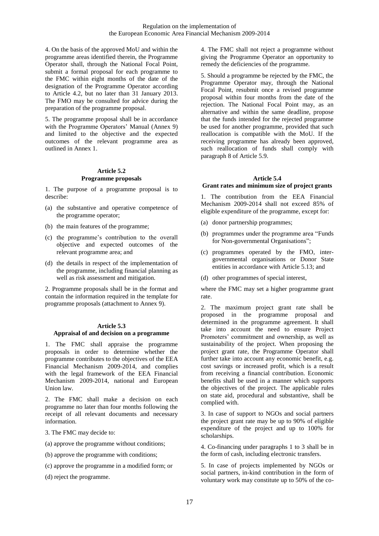4. On the basis of the approved MoU and within the programme areas identified therein, the Programme Operator shall, through the National Focal Point, submit a formal proposal for each programme to the FMC within eight months of the date of the designation of the Programme Operator according to Article 4.2, but no later than 31 January 2013. The FMO may be consulted for advice during the preparation of the programme proposal.

5. The programme proposal shall be in accordance with the Programme Operators' Manual (Annex 9) and limited to the objective and the expected outcomes of the relevant programme area as outlined in Annex 1.

#### **Article 5.2 Programme proposals**

<span id="page-16-0"></span>1. The purpose of a programme proposal is to describe:

- (a) the substantive and operative competence of the programme operator;
- (b) the main features of the programme;
- (c) the programme's contribution to the overall objective and expected outcomes of the relevant programme area; and
- (d) the details in respect of the implementation of the programme, including financial planning as well as risk assessment and mitigation.

2. Programme proposals shall be in the format and contain the information required in the template for programme proposals (attachment to Annex 9).

# **Article 5.3**

# <span id="page-16-1"></span>**Appraisal of and decision on a programme**

1. The FMC shall appraise the programme proposals in order to determine whether the programme contributes to the objectives of the EEA Financial Mechanism 2009-2014, and complies with the legal framework of the EEA Financial Mechanism 2009-2014, national and European Union law.

2. The FMC shall make a decision on each programme no later than four months following the receipt of all relevant documents and necessary information.

3. The FMC may decide to:

(a) approve the programme without conditions;

(b) approve the programme with conditions;

- (c) approve the programme in a modified form; or
- (d) reject the programme.

4. The FMC shall not reject a programme without giving the Programme Operator an opportunity to remedy the deficiencies of the programme.

5. Should a programme be rejected by the FMC, the Programme Operator may, through the National Focal Point, resubmit once a revised programme proposal within four months from the date of the rejection. The National Focal Point may, as an alternative and within the same deadline, propose that the funds intended for the rejected programme be used for another programme, provided that such reallocation is compatible with the MoU. If the receiving programme has already been approved, such reallocation of funds shall comply with paragraph 8 of Article 5.9.

#### **Article 5.4**

#### <span id="page-16-2"></span>**Grant rates and minimum size of project grants**

1. The contribution from the EEA Financial Mechanism 2009-2014 shall not exceed 85% of eligible expenditure of the programme, except for:

- (a) donor partnership programmes;
- (b) programmes under the programme area "Funds for Non-governmental Organisations";
- (c) programmes operated by the FMO, intergovernmental organisations or Donor State entities in accordance with Article 5.13; and
- (d) other programmes of special interest,

where the FMC may set a higher programme grant rate.

2. The maximum project grant rate shall be proposed in the programme proposal and determined in the programme agreement. It shall take into account the need to ensure Project Promoters' commitment and ownership, as well as sustainability of the project. When proposing the project grant rate, the Programme Operator shall further take into account any economic benefit, e.g. cost savings or increased profit, which is a result from receiving a financial contribution. Economic benefits shall be used in a manner which supports the objectives of the project. The applicable rules on state aid, procedural and substantive, shall be complied with.

3. In case of support to NGOs and social partners the project grant rate may be up to 90% of eligible expenditure of the project and up to 100% for scholarships.

4. Co-financing under paragraphs 1 to 3 shall be in the form of cash, including electronic transfers.

5. In case of projects implemented by NGOs or social partners, in-kind contribution in the form of voluntary work may constitute up to 50% of the co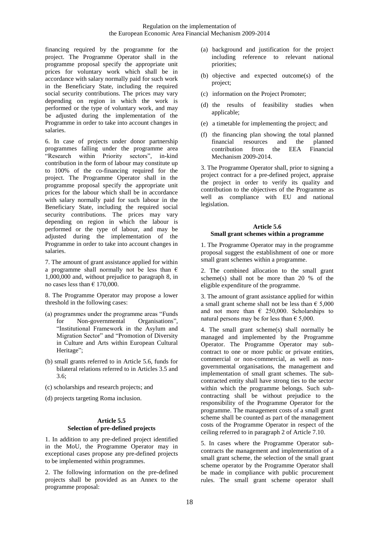financing required by the programme for the project. The Programme Operator shall in the programme proposal specify the appropriate unit prices for voluntary work which shall be in accordance with salary normally paid for such work in the Beneficiary State, including the required social security contributions. The prices may vary depending on region in which the work is performed or the type of voluntary work, and may be adjusted during the implementation of the Programme in order to take into account changes in salaries.

6. In case of projects under donor partnership programmes falling under the programme area "Research within Priority sectors", in-kind contribution in the form of labour may constitute up to 100% of the co-financing required for the project. The Programme Operator shall in the programme proposal specify the appropriate unit prices for the labour which shall be in accordance with salary normally paid for such labour in the Beneficiary State, including the required social security contributions. The prices may vary depending on region in which the labour is performed or the type of labour, and may be adjusted during the implementation of the Programme in order to take into account changes in salaries.

7. The amount of grant assistance applied for within a programme shall normally not be less than  $\epsilon$ 1,000,000 and, without prejudice to paragraph 8, in no cases less than  $\epsilon$  170,000.

8. The Programme Operator may propose a lower threshold in the following cases:

- (a) programmes under the programme areas "Funds for Non-governmental Organisations", "Institutional Framework in the Asylum and Migration Sector" and "Promotion of Diversity in Culture and Arts within European Cultural Heritage";
- (b) small grants referred to in Article 5.6, funds for bilateral relations referred to in Articles 3.5 and 3.6;
- (c) scholarships and research projects; and
- (d) projects targeting Roma inclusion.

### **Article 5.5 Selection of pre-defined projects**

<span id="page-17-0"></span>1. In addition to any pre-defined project identified in the MoU, the Programme Operator may in exceptional cases propose any pre-defined projects to be implemented within programmes.

2. The following information on the pre-defined projects shall be provided as an Annex to the programme proposal:

- (a) background and justification for the project including reference to relevant national priorities;
- (b) objective and expected outcome(s) of the project;
- (c) information on the Project Promoter;
- (d) the results of feasibility studies when applicable;
- (e) a timetable for implementing the project; and
- (f) the financing plan showing the total planned financial resources and the planned<br>contribution from the EEA Financial contribution from the EEA Mechanism 2009-2014.

3. The Programme Operator shall, prior to signing a project contract for a pre-defined project, appraise the project in order to verify its quality and contribution to the objectives of the Programme as well as compliance with EU and national legislation.

# <span id="page-17-1"></span>**Article 5.6 Small grant schemes within a programme**

1. The Programme Operator may in the programme proposal suggest the establishment of one or more small grant schemes within a programme.

2. The combined allocation to the small grant scheme(s) shall not be more than 20 % of the eligible expenditure of the programme.

3. The amount of grant assistance applied for within a small grant scheme shall not be less than  $\epsilon$  5,000 and not more than  $\epsilon$  250,000. Scholarships to natural persons may be for less than  $\epsilon$  5,000.

4. The small grant scheme(s) shall normally be managed and implemented by the Programme Operator. The Programme Operator may subcontract to one or more public or private entities, commercial or non-commercial, as well as nongovernmental organisations, the management and implementation of small grant schemes. The subcontracted entity shall have strong ties to the sector within which the programme belongs. Such subcontracting shall be without prejudice to the responsibility of the Programme Operator for the programme. The management costs of a small grant scheme shall be counted as part of the management costs of the Programme Operator in respect of the ceiling referred to in paragraph 2 of Article 7.10.

5. In cases where the Programme Operator subcontracts the management and implementation of a small grant scheme, the selection of the small grant scheme operator by the Programme Operator shall be made in compliance with public procurement rules. The small grant scheme operator shall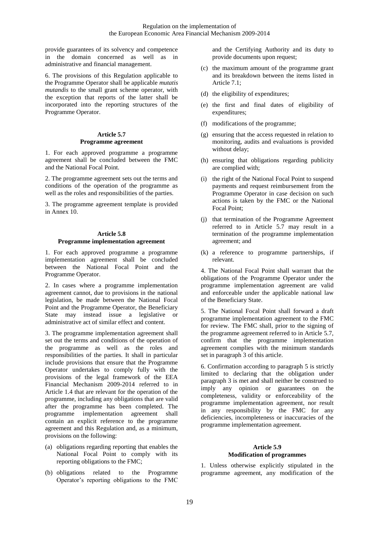provide guarantees of its solvency and competence in the domain concerned as well as in administrative and financial management.

6. The provisions of this Regulation applicable to the Programme Operator shall be applicable *mutatis mutandis* to the small grant scheme operator, with the exception that reports of the latter shall be incorporated into the reporting structures of the Programme Operator.

# **Article 5.7 Programme agreement**

<span id="page-18-0"></span>1. For each approved programme a programme agreement shall be concluded between the FMC and the National Focal Point.

2. The programme agreement sets out the terms and conditions of the operation of the programme as well as the roles and responsibilities of the parties.

3. The programme agreement template is provided in Annex 10.

# <span id="page-18-1"></span>**Article 5.8 Programme implementation agreement**

1. For each approved programme a programme implementation agreement shall be concluded between the National Focal Point and the Programme Operator.

2. In cases where a programme implementation agreement cannot, due to provisions in the national legislation, be made between the National Focal Point and the Programme Operator, the Beneficiary State may instead issue a legislative or administrative act of similar effect and content.

3. The programme implementation agreement shall set out the terms and conditions of the operation of the programme as well as the roles and responsibilities of the parties. It shall in particular include provisions that ensure that the Programme Operator undertakes to comply fully with the provisions of the legal framework of the EEA Financial Mechanism 2009-2014 referred to in Article 1.4 that are relevant for the operation of the programme, including any obligations that are valid after the programme has been completed. The programme implementation agreement shall contain an explicit reference to the programme agreement and this Regulation and, as a minimum, provisions on the following:

- (a) obligations regarding reporting that enables the National Focal Point to comply with its reporting obligations to the FMC;
- (b) obligations related to the Programme Operator's reporting obligations to the FMC

and the Certifying Authority and its duty to provide documents upon request;

- (c) the maximum amount of the programme grant and its breakdown between the items listed in Article 7.1;
- (d) the eligibility of expenditures;
- (e) the first and final dates of eligibility of expenditures;
- (f) modifications of the programme;
- (g) ensuring that the access requested in relation to monitoring, audits and evaluations is provided without delay;
- (h) ensuring that obligations regarding publicity are complied with;
- (i) the right of the National Focal Point to suspend payments and request reimbursement from the Programme Operator in case decision on such actions is taken by the FMC or the National Focal Point;
- (j) that termination of the Programme Agreement referred to in Article 5.7 may result in a termination of the programme implementation agreement; and
- (k) a reference to programme partnerships, if relevant.

4. The National Focal Point shall warrant that the obligations of the Programme Operator under the programme implementation agreement are valid and enforceable under the applicable national law of the Beneficiary State.

5. The National Focal Point shall forward a draft programme implementation agreement to the FMC for review. The FMC shall, prior to the signing of the programme agreement referred to in Article 5.7, confirm that the programme implementation agreement complies with the minimum standards set in paragraph 3 of this article.

6. Confirmation according to paragraph 5 is strictly limited to declaring that the obligation under paragraph 3 is met and shall neither be construed to imply any opinion or guarantees on the completeness, validity or enforceability of the programme implementation agreement, nor result in any responsibility by the FMC for any deficiencies, incompleteness or inaccuracies of the programme implementation agreement.

#### **Article 5.9 Modification of programmes**

<span id="page-18-2"></span>1. Unless otherwise explicitly stipulated in the programme agreement, any modification of the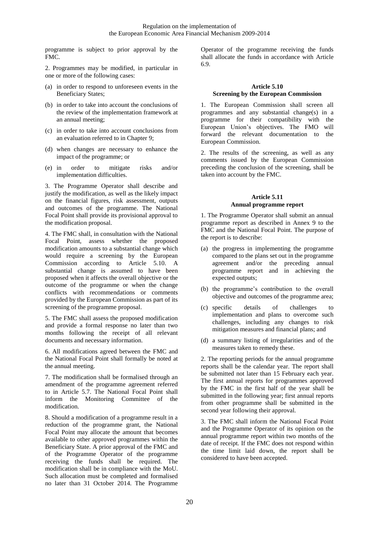programme is subject to prior approval by the FMC.

2. Programmes may be modified, in particular in one or more of the following cases:

- (a) in order to respond to unforeseen events in the Beneficiary States;
- (b) in order to take into account the conclusions of the review of the implementation framework at an annual meeting;
- (c) in order to take into account conclusions from an evaluation referred to in Chapter 9;
- (d) when changes are necessary to enhance the impact of the programme; or
- (e) in order to mitigate risks and/or implementation difficulties.

3. The Programme Operator shall describe and justify the modification, as well as the likely impact on the financial figures, risk assessment, outputs and outcomes of the programme. The National Focal Point shall provide its provisional approval to the modification proposal.

4. The FMC shall, in consultation with the National Focal Point, assess whether the proposed modification amounts to a substantial change which would require a screening by the European Commission according to Article 5.10. A substantial change is assumed to have been proposed when it affects the overall objective or the outcome of the programme or when the change conflicts with recommendations or comments provided by the European Commission as part of its screening of the programme proposal.

5. The FMC shall assess the proposed modification and provide a formal response no later than two months following the receipt of all relevant documents and necessary information.

6. All modifications agreed between the FMC and the National Focal Point shall formally be noted at the annual meeting.

7. The modification shall be formalised through an amendment of the programme agreement referred to in Article 5.7. The National Focal Point shall inform the Monitoring Committee of the modification.

8. Should a modification of a programme result in a reduction of the programme grant, the National Focal Point may allocate the amount that becomes available to other approved programmes within the Beneficiary State. A prior approval of the FMC and of the Programme Operator of the programme receiving the funds shall be required. The modification shall be in compliance with the MoU. Such allocation must be completed and formalised no later than 31 October 2014. The Programme

Operator of the programme receiving the funds shall allocate the funds in accordance with Article 6.9.

### <span id="page-19-0"></span>**Article 5.10 Screening by the European Commission**

1. The European Commission shall screen all programmes and any substantial change(s) in a programme for their compatibility with the European Union's objectives. The FMO will forward the relevant documentation to the European Commission.

2. The results of the screening, as well as any comments issued by the European Commission preceding the conclusion of the screening, shall be taken into account by the FMC.

# **Article 5.11 Annual programme report**

<span id="page-19-1"></span>1. The Programme Operator shall submit an annual programme report as described in Annex 9 to the FMC and the National Focal Point. The purpose of the report is to describe:

- (a) the progress in implementing the programme compared to the plans set out in the programme agreement and/or the preceding annual programme report and in achieving the expected outputs;
- (b) the programme's contribution to the overall objective and outcomes of the programme area;
- (c) specific details of challenges to implementation and plans to overcome such challenges, including any changes to risk mitigation measures and financial plans; and
- (d) a summary listing of irregularities and of the measures taken to remedy these.

2. The reporting periods for the annual programme reports shall be the calendar year. The report shall be submitted not later than 15 February each year. The first annual reports for programmes approved by the FMC in the first half of the year shall be submitted in the following year; first annual reports from other programme shall be submitted in the second year following their approval.

3. The FMC shall inform the National Focal Point and the Programme Operator of its opinion on the annual programme report within two months of the date of receipt. If the FMC does not respond within the time limit laid down, the report shall be considered to have been accepted.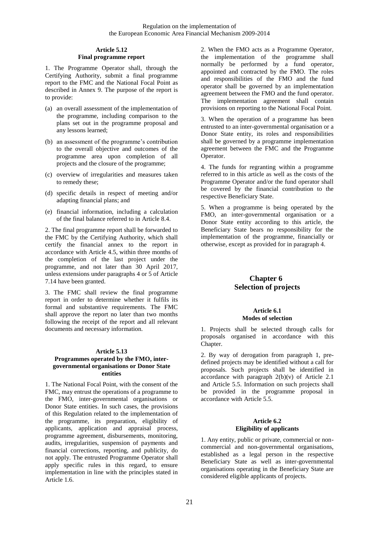#### **Article 5.12 Final programme report**

<span id="page-20-0"></span>1. The Programme Operator shall, through the Certifying Authority, submit a final programme report to the FMC and the National Focal Point as described in Annex 9. The purpose of the report is to provide:

- (a) an overall assessment of the implementation of the programme, including comparison to the plans set out in the programme proposal and any lessons learned;
- (b) an assessment of the programme's contribution to the overall objective and outcomes of the programme area upon completion of all projects and the closure of the programme;
- (c) overview of irregularities and measures taken to remedy these;
- (d) specific details in respect of meeting and/or adapting financial plans; and
- (e) financial information, including a calculation of the final balance referred to in Article 8.4.

2. The final programme report shall be forwarded to the FMC by the Certifying Authority, which shall certify the financial annex to the report in accordance with Article 4.5, within three months of the completion of the last project under the programme, and not later than 30 April 2017, unless extensions under paragraphs 4 or 5 of Article 7.14 have been granted.

3. The FMC shall review the final programme report in order to determine whether it fulfils its formal and substantive requirements. The FMC shall approve the report no later than two months following the receipt of the report and all relevant documents and necessary information.

#### **Article 5.13**

### <span id="page-20-1"></span>**Programmes operated by the FMO, intergovernmental organisations or Donor State entities**

1. The National Focal Point, with the consent of the FMC, may entrust the operations of a programme to the FMO, inter-governmental organisations or Donor State entities. In such cases, the provisions of this Regulation related to the implementation of the programme, its preparation, eligibility of applicants, application and appraisal process, programme agreement, disbursements, monitoring, audits, irregularities, suspension of payments and financial corrections, reporting, and publicity, do not apply. The entrusted Programme Operator shall apply specific rules in this regard, to ensure implementation in line with the principles stated in Article 1.6.

2. When the FMO acts as a Programme Operator, the implementation of the programme shall normally be performed by a fund operator, appointed and contracted by the FMO. The roles and responsibilities of the FMO and the fund operator shall be governed by an implementation agreement between the FMO and the fund operator. The implementation agreement shall contain provisions on reporting to the National Focal Point.

3. When the operation of a programme has been entrusted to an inter-governmental organisation or a Donor State entity, its roles and responsibilities shall be governed by a programme implementation agreement between the FMC and the Programme Operator.

4. The funds for regranting within a programme referred to in this article as well as the costs of the Programme Operator and/or the fund operator shall be covered by the financial contribution to the respective Beneficiary State.

5. When a programme is being operated by the FMO, an inter-governmental organisation or a Donor State entity according to this article, the Beneficiary State bears no responsibility for the implementation of the programme, financially or otherwise, except as provided for in paragraph 4.

# <span id="page-20-2"></span>**Chapter 6: Selection of projects**

#### **Article 6.1 Modes of selection**

<span id="page-20-3"></span>1. Projects shall be selected through calls for proposals organised in accordance with this Chapter.

2. By way of derogation from paragraph 1, predefined projects may be identified without a call for proposals. Such projects shall be identified in accordance with paragraph  $2(b)(v)$  of Article 2.1 and Article 5.5. Information on such projects shall be provided in the programme proposal in accordance with Article 5.5.

#### **Article 6.2 Eligibility of applicants**

<span id="page-20-4"></span>1. Any entity, public or private, commercial or noncommercial and non-governmental organisations, established as a legal person in the respective Beneficiary State as well as inter-governmental organisations operating in the Beneficiary State are considered eligible applicants of projects.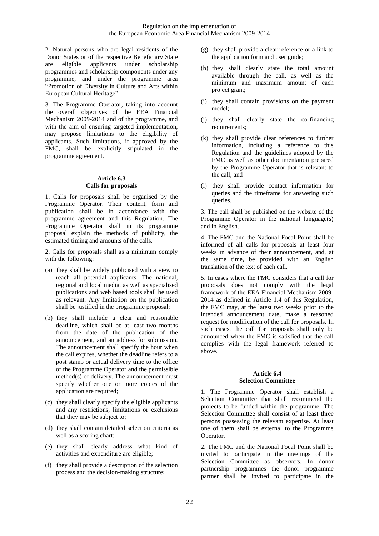2. Natural persons who are legal residents of the Donor States or of the respective Beneficiary State are eligible applicants under scholarship programmes and scholarship components under any programme, and under the programme area "Promotion of Diversity in Culture and Arts within European Cultural Heritage".

3. The Programme Operator, taking into account the overall objectives of the EEA Financial Mechanism 2009-2014 and of the programme, and with the aim of ensuring targeted implementation, may propose limitations to the eligibility of applicants. Such limitations, if approved by the FMC, shall be explicitly stipulated in the programme agreement.

#### **Article 6.3 Calls for proposals**

<span id="page-21-0"></span>1. Calls for proposals shall be organised by the Programme Operator. Their content, form and publication shall be in accordance with the programme agreement and this Regulation. The Programme Operator shall in its programme proposal explain the methods of publicity, the estimated timing and amounts of the calls.

2. Calls for proposals shall as a minimum comply with the following:

- (a) they shall be widely publicised with a view to reach all potential applicants. The national, regional and local media, as well as specialised publications and web based tools shall be used as relevant. Any limitation on the publication shall be justified in the programme proposal;
- (b) they shall include a clear and reasonable deadline, which shall be at least two months from the date of the publication of the announcement, and an address for submission. The announcement shall specify the hour when the call expires, whether the deadline refers to a post stamp or actual delivery time to the office of the Programme Operator and the permissible method(s) of delivery. The announcement must specify whether one or more copies of the application are required;
- (c) they shall clearly specify the eligible applicants and any restrictions, limitations or exclusions that they may be subject to;
- (d) they shall contain detailed selection criteria as well as a scoring chart;
- (e) they shall clearly address what kind of activities and expenditure are eligible;
- (f) they shall provide a description of the selection process and the decision-making structure;
- (g) they shall provide a clear reference or a link to the application form and user guide;
- (h) they shall clearly state the total amount available through the call, as well as the minimum and maximum amount of each project grant;
- (i) they shall contain provisions on the payment model;
- (j) they shall clearly state the co-financing requirements;
- (k) they shall provide clear references to further information, including a reference to this Regulation and the guidelines adopted by the FMC as well as other documentation prepared by the Programme Operator that is relevant to the call; and
- (l) they shall provide contact information for queries and the timeframe for answering such queries.

3. The call shall be published on the website of the Programme Operator in the national language(s) and in English.

4. The FMC and the National Focal Point shall be informed of all calls for proposals at least four weeks in advance of their announcement, and, at the same time, be provided with an English translation of the text of each call.

5. In cases where the FMC considers that a call for proposals does not comply with the legal framework of the EEA Financial Mechanism 2009- 2014 as defined in Article 1.4 of this Regulation, the FMC may, at the latest two weeks prior to the intended announcement date, make a reasoned request for modification of the call for proposals. In such cases, the call for proposals shall only be announced when the FMC is satisfied that the call complies with the legal framework referred to above.

#### **Article 6.4 Selection Committee**

<span id="page-21-1"></span>1. The Programme Operator shall establish a Selection Committee that shall recommend the projects to be funded within the programme. The Selection Committee shall consist of at least three persons possessing the relevant expertise. At least one of them shall be external to the Programme Operator.

2. The FMC and the National Focal Point shall be invited to participate in the meetings of the Selection Committee as observers. In donor partnership programmes the donor programme partner shall be invited to participate in the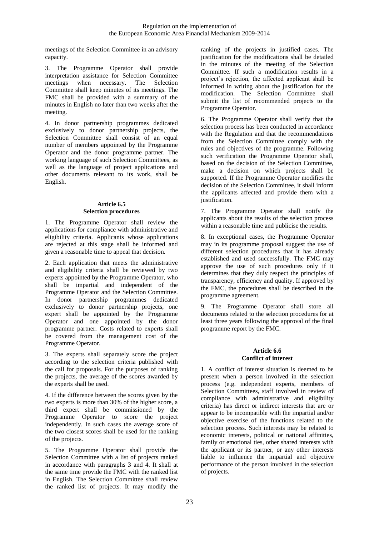meetings of the Selection Committee in an advisory capacity.

3. The Programme Operator shall provide interpretation assistance for Selection Committee<br>meetings when necessary. The Selection necessary. Committee shall keep minutes of its meetings. The FMC shall be provided with a summary of the minutes in English no later than two weeks after the meeting.

4. In donor partnership programmes dedicated exclusively to donor partnership projects, the Selection Committee shall consist of an equal number of members appointed by the Programme Operator and the donor programme partner. The working language of such Selection Committees, as well as the language of project applications and other documents relevant to its work, shall be English.

### **Article 6.5 Selection procedures**

<span id="page-22-0"></span>1. The Programme Operator shall review the applications for compliance with administrative and eligibility criteria. Applicants whose applications are rejected at this stage shall be informed and given a reasonable time to appeal that decision.

2. Each application that meets the administrative and eligibility criteria shall be reviewed by two experts appointed by the Programme Operator, who shall be impartial and independent of the Programme Operator and the Selection Committee. In donor partnership programmes dedicated exclusively to donor partnership projects, one expert shall be appointed by the Programme Operator and one appointed by the donor programme partner. Costs related to experts shall be covered from the management cost of the Programme Operator.

3. The experts shall separately score the project according to the selection criteria published with the call for proposals. For the purposes of ranking the projects, the average of the scores awarded by the experts shall be used.

4. If the difference between the scores given by the two experts is more than 30% of the higher score, a third expert shall be commissioned by the Programme Operator to score the project independently. In such cases the average score of the two closest scores shall be used for the ranking of the projects.

5. The Programme Operator shall provide the Selection Committee with a list of projects ranked in accordance with paragraphs 3 and 4. It shall at the same time provide the FMC with the ranked list in English. The Selection Committee shall review the ranked list of projects. It may modify the

ranking of the projects in justified cases. The justification for the modifications shall be detailed in the minutes of the meeting of the Selection Committee. If such a modification results in a project's rejection, the affected applicant shall be informed in writing about the justification for the modification. The Selection Committee shall submit the list of recommended projects to the Programme Operator.

6. The Programme Operator shall verify that the selection process has been conducted in accordance with the Regulation and that the recommendations from the Selection Committee comply with the rules and objectives of the programme. Following such verification the Programme Operator shall, based on the decision of the Selection Committee, make a decision on which projects shall be supported. If the Programme Operator modifies the decision of the Selection Committee, it shall inform the applicants affected and provide them with a justification.

7. The Programme Operator shall notify the applicants about the results of the selection process within a reasonable time and publicise the results.

8. In exceptional cases, the Programme Operator may in its programme proposal suggest the use of different selection procedures that it has already established and used successfully. The FMC may approve the use of such procedures only if it determines that they duly respect the principles of transparency, efficiency and quality. If approved by the FMC, the procedures shall be described in the programme agreement.

9. The Programme Operator shall store all documents related to the selection procedures for at least three years following the approval of the final programme report by the FMC.

# **Article 6.6 Conflict of interest**

<span id="page-22-1"></span>1. A conflict of interest situation is deemed to be present when a person involved in the selection process (e.g. independent experts, members of Selection Committees, staff involved in review of compliance with administrative and eligibility criteria) has direct or indirect interests that are or appear to be incompatible with the impartial and/or objective exercise of the functions related to the selection process. Such interests may be related to economic interests, political or national affinities, family or emotional ties, other shared interests with the applicant or its partner, or any other interests liable to influence the impartial and objective performance of the person involved in the selection of projects.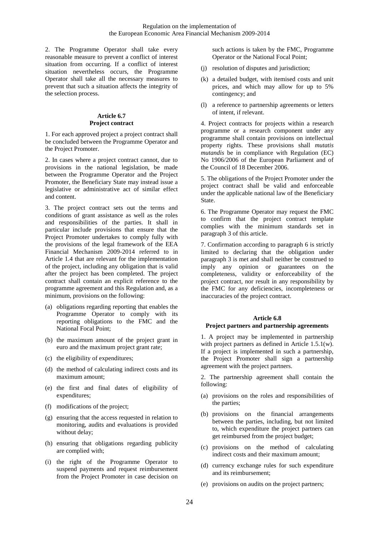2. The Programme Operator shall take every reasonable measure to prevent a conflict of interest situation from occurring. If a conflict of interest situation nevertheless occurs, the Programme Operator shall take all the necessary measures to prevent that such a situation affects the integrity of the selection process.

#### **Article 6.7 Project contract**

<span id="page-23-0"></span>1. For each approved project a project contract shall be concluded between the Programme Operator and the Project Promoter.

2. In cases where a project contract cannot, due to provisions in the national legislation, be made between the Programme Operator and the Project Promoter, the Beneficiary State may instead issue a legislative or administrative act of similar effect and content.

3. The project contract sets out the terms and conditions of grant assistance as well as the roles and responsibilities of the parties. It shall in particular include provisions that ensure that the Project Promoter undertakes to comply fully with the provisions of the legal framework of the EEA Financial Mechanism 2009-2014 referred to in Article 1.4 that are relevant for the implementation of the project, including any obligation that is valid after the project has been completed. The project contract shall contain an explicit reference to the programme agreement and this Regulation and, as a minimum, provisions on the following:

- (a) obligations regarding reporting that enables the Programme Operator to comply with its reporting obligations to the FMC and the National Focal Point;
- (b) the maximum amount of the project grant in euro and the maximum project grant rate;
- (c) the eligibility of expenditures;
- (d) the method of calculating indirect costs and its maximum amount;
- (e) the first and final dates of eligibility of expenditures;
- (f) modifications of the project;
- (g) ensuring that the access requested in relation to monitoring, audits and evaluations is provided without delay;
- (h) ensuring that obligations regarding publicity are complied with;
- (i) the right of the Programme Operator to suspend payments and request reimbursement from the Project Promoter in case decision on

such actions is taken by the FMC, Programme Operator or the National Focal Point;

- (j) resolution of disputes and jurisdiction;
- (k) a detailed budget, with itemised costs and unit prices, and which may allow for up to 5% contingency; and
- (l) a reference to partnership agreements or letters of intent, if relevant.

4. Project contracts for projects within a research programme or a research component under any programme shall contain provisions on intellectual property rights. These provisions shall *mutatis mutandis* be in compliance with Regulation (EC) No 1906/2006 of the European Parliament and of the Council of 18 December 2006.

5. The obligations of the Project Promoter under the project contract shall be valid and enforceable under the applicable national law of the Beneficiary State.

6. The Programme Operator may request the FMC to confirm that the project contract template complies with the minimum standards set in paragraph 3 of this article.

7. Confirmation according to paragraph 6 is strictly limited to declaring that the obligation under paragraph 3 is met and shall neither be construed to imply any opinion or guarantees on the completeness, validity or enforceability of the project contract, nor result in any responsibility by the FMC for any deficiencies, incompleteness or inaccuracies of the project contract.

#### **Article 6.8**

#### <span id="page-23-1"></span>**Project partners and partnership agreements**

1. A project may be implemented in partnership with project partners as defined in Article 1.5.1(w). If a project is implemented in such a partnership, the Project Promoter shall sign a partnership agreement with the project partners.

2. The partnership agreement shall contain the following:

- (a) provisions on the roles and responsibilities of the parties;
- (b) provisions on the financial arrangements between the parties, including, but not limited to, which expenditure the project partners can get reimbursed from the project budget;
- (c) provisions on the method of calculating indirect costs and their maximum amount;
- (d) currency exchange rules for such expenditure and its reimbursement;
- (e) provisions on audits on the project partners;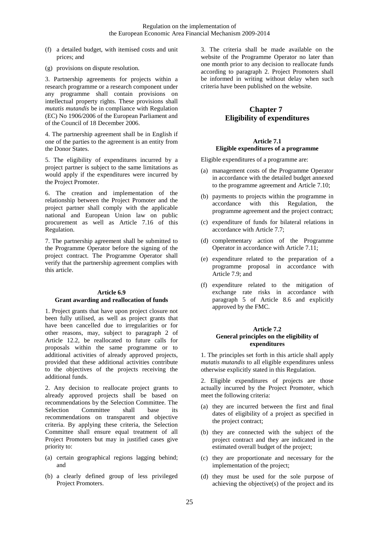- (f) a detailed budget, with itemised costs and unit prices; and
- (g) provisions on dispute resolution.

3. Partnership agreements for projects within a research programme or a research component under any programme shall contain provisions on intellectual property rights. These provisions shall *mutatis mutandis* be in compliance with Regulation (EC) No 1906/2006 of the European Parliament and of the Council of 18 December 2006.

4. The partnership agreement shall be in English if one of the parties to the agreement is an entity from the Donor States.

5. The eligibility of expenditures incurred by a project partner is subject to the same limitations as would apply if the expenditures were incurred by the Project Promoter.

6. The creation and implementation of the relationship between the Project Promoter and the project partner shall comply with the applicable national and European Union law on public procurement as well as Article 7.16 of this Regulation.

7. The partnership agreement shall be submitted to the Programme Operator before the signing of the project contract. The Programme Operator shall verify that the partnership agreement complies with this article.

#### <span id="page-24-0"></span>**Article 6.9 Grant awarding and reallocation of funds**

1. Project grants that have upon project closure not been fully utilised, as well as project grants that have been cancelled due to irregularities or for other reasons, may, subject to paragraph 2 of Article 12.2, be reallocated to future calls for proposals within the same programme or to additional activities of already approved projects, provided that these additional activities contribute to the objectives of the projects receiving the additional funds.

2. Any decision to reallocate project grants to already approved projects shall be based on recommendations by the Selection Committee. The Selection Committee shall base its recommendations on transparent and objective criteria. By applying these criteria, the Selection Committee shall ensure equal treatment of all Project Promoters but may in justified cases give priority to:

- (a) certain geographical regions lagging behind; and
- (b) a clearly defined group of less privileged Project Promoters.

3. The criteria shall be made available on the website of the Programme Operator no later than one month prior to any decision to reallocate funds according to paragraph 2. Project Promoters shall be informed in writing without delay when such criteria have been published on the website.

# <span id="page-24-1"></span>**Chapter 7: Eligibility of expenditures**

#### <span id="page-24-2"></span>**Article 7.1 Eligible expenditures of a programme**

Eligible expenditures of a programme are:

- (a) management costs of the Programme Operator in accordance with the detailed budget annexed to the programme agreement and Article 7.10;
- (b) payments to projects within the programme in accordance with this Regulation, the programme agreement and the project contract;
- (c) expenditure of funds for bilateral relations in accordance with Article 7.7;
- (d) complementary action of the Programme Operator in accordance with Article 7.11;
- (e) expenditure related to the preparation of a programme proposal in accordance with Article 7.9; and
- (f) expenditure related to the mitigation of exchange rate risks in accordance with paragraph 5 of Article 8.6 and explicitly approved by the FMC.

#### <span id="page-24-3"></span>**Article 7.2 General principles on the eligibility of expenditures**

1. The principles set forth in this article shall apply *mutatis mutandis* to all eligible expenditures unless otherwise explicitly stated in this Regulation.

2. Eligible expenditures of projects are those actually incurred by the Project Promoter, which meet the following criteria:

- (a) they are incurred between the first and final dates of eligibility of a project as specified in the project contract;
- (b) they are connected with the subject of the project contract and they are indicated in the estimated overall budget of the project;
- (c) they are proportionate and necessary for the implementation of the project;
- (d) they must be used for the sole purpose of achieving the objective(s) of the project and its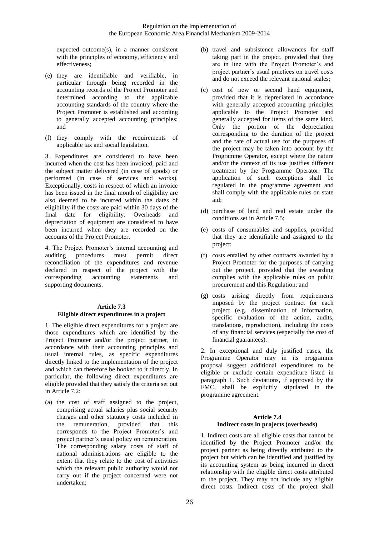expected outcome(s), in a manner consistent with the principles of economy, efficiency and effectiveness;

- (e) they are identifiable and verifiable, in particular through being recorded in the accounting records of the Project Promoter and determined according to the applicable accounting standards of the country where the Project Promoter is established and according to generally accepted accounting principles; and
- (f) they comply with the requirements of applicable tax and social legislation.

3. Expenditures are considered to have been incurred when the cost has been invoiced, paid and the subject matter delivered (in case of goods) or performed (in case of services and works). Exceptionally, costs in respect of which an invoice has been issued in the final month of eligibility are also deemed to be incurred within the dates of eligibility if the costs are paid within 30 days of the final date for eligibility. Overheads and depreciation of equipment are considered to have been incurred when they are recorded on the accounts of the Project Promoter.

4. The Project Promoter's internal accounting and auditing procedures must permit direct auditing procedures must permit direct reconciliation of the expenditures and revenue declared in respect of the project with the corresponding accounting statements and corresponding accounting statements and supporting documents.

# <span id="page-25-0"></span>**Article 7.3 Eligible direct expenditures in a project**

1. The eligible direct expenditures for a project are those expenditures which are identified by the Project Promoter and/or the project partner, in accordance with their accounting principles and usual internal rules, as specific expenditures directly linked to the implementation of the project and which can therefore be booked to it directly. In particular, the following direct expenditures are eligible provided that they satisfy the criteria set out in Article 7.2:

(a) the cost of staff assigned to the project, comprising actual salaries plus social security charges and other statutory costs included in the remuneration, provided that this corresponds to the Project Promoter's and project partner's usual policy on remuneration. The corresponding salary costs of staff of national administrations are eligible to the extent that they relate to the cost of activities which the relevant public authority would not carry out if the project concerned were not undertaken;

- (b) travel and subsistence allowances for staff taking part in the project, provided that they are in line with the Project Promoter's and project partner's usual practices on travel costs and do not exceed the relevant national scales;
- (c) cost of new or second hand equipment, provided that it is depreciated in accordance with generally accepted accounting principles applicable to the Project Promoter and generally accepted for items of the same kind. Only the portion of the depreciation corresponding to the duration of the project and the rate of actual use for the purposes of the project may be taken into account by the Programme Operator, except where the nature and/or the context of its use justifies different treatment by the Programme Operator. The application of such exceptions shall be regulated in the programme agreement and shall comply with the applicable rules on state aid;
- (d) purchase of land and real estate under the conditions set in Article 7.5;
- (e) costs of consumables and supplies, provided that they are identifiable and assigned to the project;
- (f) costs entailed by other contracts awarded by a Project Promoter for the purposes of carrying out the project, provided that the awarding complies with the applicable rules on public procurement and this Regulation; and
- (g) costs arising directly from requirements imposed by the project contract for each project (e.g. dissemination of information, specific evaluation of the action, audits, translations, reproduction), including the costs of any financial services (especially the cost of financial guarantees).

2. In exceptional and duly justified cases, the Programme Operator may in its programme proposal suggest additional expenditures to be eligible or exclude certain expenditure listed in paragraph 1. Such deviations, if approved by the FMC, shall be explicitly stipulated in the programme agreement.

# <span id="page-25-1"></span>**Article 7.4 Indirect costs in projects (overheads)**

1. Indirect costs are all eligible costs that cannot be identified by the Project Promoter and/or the project partner as being directly attributed to the project but which can be identified and justified by its accounting system as being incurred in direct relationship with the eligible direct costs attributed to the project. They may not include any eligible direct costs. Indirect costs of the project shall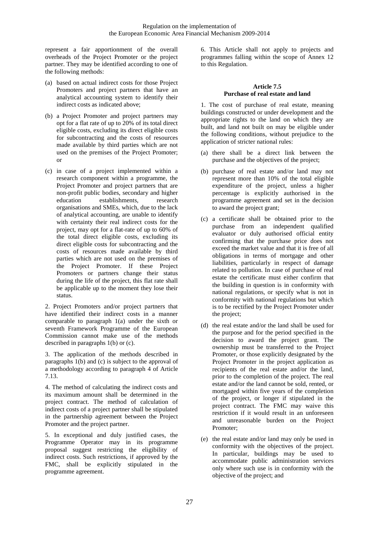represent a fair apportionment of the overall overheads of the Project Promoter or the project partner. They may be identified according to one of the following methods:

- (a) based on actual indirect costs for those Project Promoters and project partners that have an analytical accounting system to identify their indirect costs as indicated above;
- (b) a Project Promoter and project partners may opt for a flat rate of up to 20% of its total direct eligible costs, excluding its direct eligible costs for subcontracting and the costs of resources made available by third parties which are not used on the premises of the Project Promoter; or
- (c) in case of a project implemented within a research component within a programme, the Project Promoter and project partners that are non-profit public bodies, secondary and higher education establishments, organisations and SMEs, which, due to the lack of analytical accounting, are unable to identify with certainty their real indirect costs for the project, may opt for a flat-rate of up to 60% of the total direct eligible costs, excluding its direct eligible costs for subcontracting and the costs of resources made available by third parties which are not used on the premises of the Project Promoter. If these Project Promoters or partners change their status during the life of the project, this flat rate shall be applicable up to the moment they lose their status.

2. Project Promoters and/or project partners that have identified their indirect costs in a manner comparable to paragraph 1(a) under the sixth or seventh Framework Programme of the European Commission cannot make use of the methods described in paragraphs 1(b) or (c).

3. The application of the methods described in paragraphs 1(b) and (c) is subject to the approval of a methodology according to paragraph 4 of Article 7.13.

4. The method of calculating the indirect costs and its maximum amount shall be determined in the project contract. The method of calculation of indirect costs of a project partner shall be stipulated in the partnership agreement between the Project Promoter and the project partner.

5. In exceptional and duly justified cases, the Programme Operator may in its programme proposal suggest restricting the eligibility of indirect costs. Such restrictions, if approved by the FMC, shall be explicitly stipulated in the programme agreement.

6. This Article shall not apply to projects and programmes falling within the scope of Annex 12 to this Regulation.

# **Article 7.5 Purchase of real estate and land**

<span id="page-26-0"></span>1. The cost of purchase of real estate, meaning buildings constructed or under development and the appropriate rights to the land on which they are built, and land not built on may be eligible under the following conditions, without prejudice to the application of stricter national rules:

- (a) there shall be a direct link between the purchase and the objectives of the project;
- (b) purchase of real estate and/or land may not represent more than 10% of the total eligible expenditure of the project, unless a higher percentage is explicitly authorised in the programme agreement and set in the decision to award the project grant;
- (c) a certificate shall be obtained prior to the purchase from an independent qualified evaluator or duly authorised official entity confirming that the purchase price does not exceed the market value and that it is free of all obligations in terms of mortgage and other liabilities, particularly in respect of damage related to pollution. In case of purchase of real estate the certificate must either confirm that the building in question is in conformity with national regulations, or specify what is not in conformity with national regulations but which is to be rectified by the Project Promoter under the project;
- (d) the real estate and/or the land shall be used for the purpose and for the period specified in the decision to award the project grant. The ownership must be transferred to the Project Promoter, or those explicitly designated by the Project Promoter in the project application as recipients of the real estate and/or the land, prior to the completion of the project. The real estate and/or the land cannot be sold, rented, or mortgaged within five years of the completion of the project, or longer if stipulated in the project contract. The FMC may waive this restriction if it would result in an unforeseen and unreasonable burden on the Project Promoter;
- (e) the real estate and/or land may only be used in conformity with the objectives of the project. In particular, buildings may be used to accommodate public administration services only where such use is in conformity with the objective of the project; and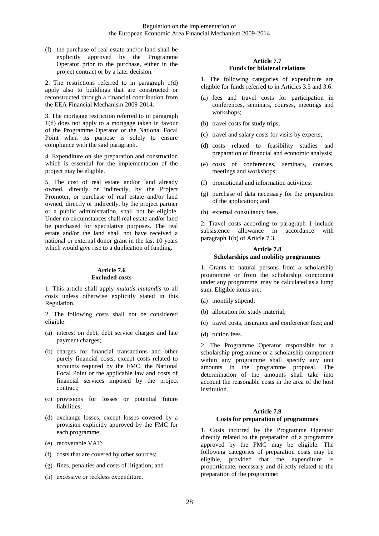(f) the purchase of real estate and/or land shall be explicitly approved by the Programme Operator prior to the purchase, either in the project contract or by a later decision.

2. The restrictions referred to in paragraph 1(d) apply also to buildings that are constructed or reconstructed through a financial contribution from the EEA Financial Mechanism 2009-2014.

3. The mortgage restriction referred to in paragraph 1(d) does not apply to a mortgage taken in favour of the Programme Operator or the National Focal Point when its purpose is solely to ensure compliance with the said paragraph.

4. Expenditure on site preparation and construction which is essential for the implementation of the project may be eligible.

5. The cost of real estate and/or land already owned, directly or indirectly, by the Project Promoter, or purchase of real estate and/or land owned, directly or indirectly, by the project partner or a public administration, shall not be eligible. Under no circumstances shall real estate and/or land be purchased for speculative purposes. The real estate and/or the land shall not have received a national or external donor grant in the last 10 years which would give rise to a duplication of funding.

#### **Article 7.6 Excluded costs**

<span id="page-27-0"></span>1. This article shall apply *mutatis mutandis* to all costs unless otherwise explicitly stated in this Regulation.

2. The following costs shall not be considered eligible:

- (a) interest on debt, debt service charges and late payment charges;
- (b) charges for financial transactions and other purely financial costs, except costs related to accounts required by the FMC, the National Focal Point or the applicable law and costs of financial services imposed by the project contract;
- (c) provisions for losses or potential future liabilities;
- (d) exchange losses, except losses covered by a provision explicitly approved by the FMC for each programme;
- (e) recoverable VAT;
- (f) costs that are covered by other sources;
- (g) fines, penalties and costs of litigation; and
- (h) excessive or reckless expenditure.

#### **Article 7.7 Funds for bilateral relations**

<span id="page-27-1"></span>1. The following categories of expenditure are eligible for funds referred to in Articles 3.5 and 3.6:

- (a) fees and travel costs for participation in conferences, seminars, courses, meetings and workshops;
- (b) travel costs for study trips;
- (c) travel and salary costs for visits by experts;
- (d) costs related to feasibility studies and preparation of financial and economic analysis;
- (e) costs of conferences, seminars, courses, meetings and workshops;
- (f) promotional and information activities;
- (g) purchase of data necessary for the preparation of the application; and
- (h) external consultancy fees.

2. Travel costs according to paragraph 1 include subsistence allowance in accordance with paragraph 1(b) of Article 7.3.

#### <span id="page-27-2"></span>**Article 7.8 Scholarships and mobility programmes**

1. Grants to natural persons from a scholarship programme or from the scholarship component under any programme, may be calculated as a lump sum. Eligible items are:

- (a) monthly stipend;
- (b) allocation for study material;
- (c) travel costs, insurance and conference fees; and
- (d) tuition fees.

2. The Programme Operator responsible for a scholarship programme or a scholarship component within any programme shall specify any unit amounts in the programme proposal. The determination of the amounts shall take into account the reasonable costs in the area of the host institution.

#### <span id="page-27-3"></span>**Article 7.9 Costs for preparation of programmes**

1. Costs incurred by the Programme Operator directly related to the preparation of a programme approved by the FMC may be eligible. The following categories of preparation costs may be eligible, provided that the expenditure is proportionate, necessary and directly related to the preparation of the programme: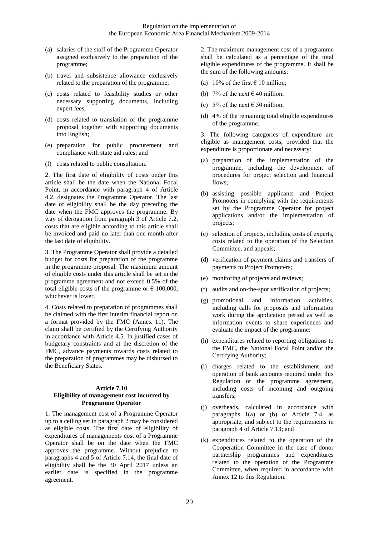- (a) salaries of the staff of the Programme Operator assigned exclusively to the preparation of the programme;
- (b) travel and subsistence allowance exclusively related to the preparation of the programme;
- (c) costs related to feasibility studies or other necessary supporting documents, including expert fees;
- (d) costs related to translation of the programme proposal together with supporting documents into English;
- (e) preparation for public procurement and compliance with state aid rules; and
- (f) costs related to public consultation.

2. The first date of eligibility of costs under this article shall be the date when the National Focal Point, in accordance with paragraph 4 of Article 4.2, designates the Programme Operator. The last date of eligibility shall be the day preceding the date when the FMC approves the programme. By way of derogation from paragraph 3 of Article 7.2, costs that are eligible according to this article shall be invoiced and paid no later than one month after the last date of eligibility.

3. The Programme Operator shall provide a detailed budget for costs for preparation of the programme in the programme proposal. The maximum amount of eligible costs under this article shall be set in the programme agreement and not exceed 0.5% of the total eligible costs of the programme or  $\epsilon$  100,000, whichever is lower.

4. Costs related to preparation of programmes shall be claimed with the first interim financial report on a format provided by the FMC (Annex 11). The claim shall be certified by the Certifying Authority in accordance with Article 4.5. In justified cases of budgetary constraints and at the discretion of the FMC, advance payments towards costs related to the preparation of programmes may be disbursed to the Beneficiary States.

#### <span id="page-28-0"></span>**Article 7.10 Eligibility of management cost incurred by Programme Operator**

1. The management cost of a Programme Operator up to a ceiling set in paragraph 2 may be considered as eligible costs. The first date of eligibility of expenditures of managements cost of a Programme Operator shall be on the date when the FMC approves the programme. Without prejudice to paragraphs 4 and 5 of Article 7.14, the final date of eligibility shall be the 30 April 2017 unless an earlier date is specified in the programme agreement.

2. The maximum management cost of a programme shall be calculated as a percentage of the total eligible expenditures of the programme. It shall be the sum of the following amounts:

- (a) 10% of the first  $\epsilon$  10 million;
- (b) 7% of the next  $\in$  40 million;
- (c) 5% of the next  $\in$  50 million;
- (d) 4% of the remaining total eligible expenditures of the programme.

3. The following categories of expenditure are eligible as management costs, provided that the expenditure is proportionate and necessary:

- (a) preparation of the implementation of the programme, including the development of procedures for project selection and financial flows:
- (b) assisting possible applicants and Project Promoters in complying with the requirements set by the Programme Operator for project applications and/or the implementation of projects;
- (c) selection of projects, including costs of experts, costs related to the operation of the Selection Committee, and appeals;
- (d) verification of payment claims and transfers of payments to Project Promoters;
- (e) monitoring of projects and reviews;
- (f) audits and on-the-spot verification of projects;
- (g) promotional and information activities, including calls for proposals and information work during the application period as well as information events to share experiences and evaluate the impact of the programme;
- (h) expenditures related to reporting obligations to the FMC, the National Focal Point and/or the Certifying Authority;
- (i) charges related to the establishment and operation of bank accounts required under this Regulation or the programme agreement, including costs of incoming and outgoing transfers;
- (j) overheads, calculated in accordance with paragraphs  $1(a)$  or (b) of Article 7.4, as appropriate, and subject to the requirements in paragraph 4 of Article 7.13; and
- (k) expenditures related to the operation of the Cooperation Committee in the case of donor partnership programmes and expenditures related to the operation of the Programme Committee, when required in accordance with Annex 12 to this Regulation.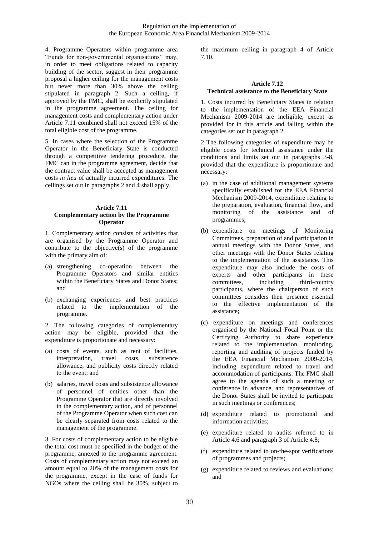4. Programme Operators within programme area "Funds for non-governmental organisations" may, in order to meet obligations related to capacity building of the sector, suggest in their programme proposal a higher ceiling for the management costs but never more than 30% above the ceiling stipulated in paragraph 2. Such a ceiling, if approved by the FMC, shall be explicitly stipulated in the programme agreement. The ceiling for management costs and complementary action under Article 7.11 combined shall not exceed 15% of the total eligible cost of the programme.

5. In cases where the selection of the Programme Operator in the Beneficiary State is conducted through a competitive tendering procedure, the FMC can in the programme agreement, decide that the contract value shall be accepted as management costs *in lieu* of actually incurred expenditures. The ceilings set out in paragraphs 2 and 4 shall apply.

#### <span id="page-29-0"></span>**Article 7.11 Complementary action by the Programme Operator**

1. Complementary action consists of activities that are organised by the Programme Operator and contribute to the objective(s) of the programme with the primary aim of:

- (a) strengthening co-operation between the Programme Operators and similar entities within the Beneficiary States and Donor States; and
- (b) exchanging experiences and best practices the implementation of the programme.

2. The following categories of complementary action may be eligible, provided that the expenditure is proportionate and necessary:

- (a) costs of events, such as rent of facilities, interpretation, travel costs, subsistence allowance, and publicity costs directly related to the event; and
- (b) salaries, travel costs and subsistence allowance of personnel of entities other than the Programme Operator that are directly involved in the complementary action, and of personnel of the Programme Operator when such cost can be clearly separated from costs related to the management of the programme.

3. For costs of complementary action to be eligible the total cost must be specified in the budget of the programme, annexed to the programme agreement. Costs of complementary action may not exceed an amount equal to 20% of the management costs for the programme, except in the case of funds for NGOs where the ceiling shall be 30%, subject to

the maximum ceiling in paragraph 4 of Article 7.10.

# <span id="page-29-1"></span>**Article 7.12 Technical assistance to the Beneficiary State**

1. Costs incurred by Beneficiary States in relation to the implementation of the EEA Financial Mechanism 2009-2014 are ineligible, except as provided for in this article and falling within the categories set out in paragraph 2.

2 The following categories of expenditure may be eligible costs for technical assistance under the conditions and limits set out in paragraphs 3-8, provided that the expenditure is proportionate and necessary:

- (a) in the case of additional management systems specifically established for the EEA Financial Mechanism 2009-2014, expenditure relating to the preparation, evaluation, financial flow, and monitoring of the assistance and of programmes;
- (b) expenditure on meetings of Monitoring Committees, preparation of and participation in annual meetings with the Donor States, and other meetings with the Donor States relating to the implementation of the assistance. This expenditure may also include the costs of experts and other participants in these<br>committees, including third-country committees, including third-country participants, where the chairperson of such committees considers their presence essential to the effective implementation of the assistance;
- (c) expenditure on meetings and conferences organised by the National Focal Point or the Certifying Authority to share experience related to the implementation, monitoring, reporting and auditing of projects funded by the EEA Financial Mechanism 2009-2014, including expenditure related to travel and accommodation of participants. The FMC shall agree to the agenda of such a meeting or conference in advance, and representatives of the Donor States shall be invited to participate in such meetings or conferences;
- (d) expenditure related to promotional and information activities;
- (e) expenditure related to audits referred to in Article 4.6 and paragraph 3 of Article 4.8;
- (f) expenditure related to on-the-spot verifications of programmes and projects;
- (g) expenditure related to reviews and evaluations; and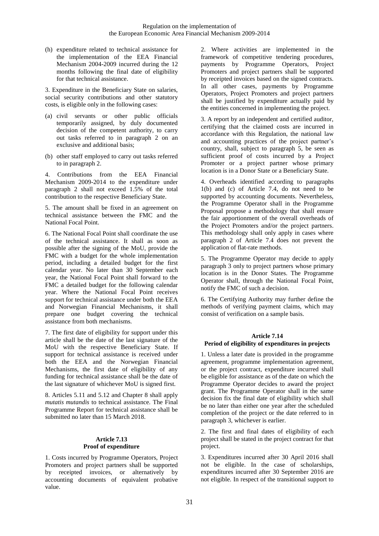(h) expenditure related to technical assistance for the implementation of the EEA Financial Mechanism 2004-2009 incurred during the 12 months following the final date of eligibility for that technical assistance.

3. Expenditure in the Beneficiary State on salaries, social security contributions and other statutory costs, is eligible only in the following cases:

- (a) civil servants or other public officials temporarily assigned, by duly documented decision of the competent authority, to carry out tasks referred to in paragraph 2 on an exclusive and additional basis;
- (b) other staff employed to carry out tasks referred to in paragraph 2.

4. Contributions from the EEA Financial Mechanism 2009-2014 to the expenditure under paragraph 2 shall not exceed 1.5% of the total contribution to the respective Beneficiary State.

5. The amount shall be fixed in an agreement on technical assistance between the FMC and the National Focal Point.

6. The National Focal Point shall coordinate the use of the technical assistance. It shall as soon as possible after the signing of the MoU, provide the FMC with a budget for the whole implementation period, including a detailed budget for the first calendar year. No later than 30 September each year, the National Focal Point shall forward to the FMC a detailed budget for the following calendar year. Where the National Focal Point receives support for technical assistance under both the EEA and Norwegian Financial Mechanisms, it shall prepare one budget covering the technical assistance from both mechanisms.

7. The first date of eligibility for support under this article shall be the date of the last signature of the MoU with the respective Beneficiary State. If support for technical assistance is received under both the EEA and the Norwegian Financial Mechanisms, the first date of eligibility of any funding for technical assistance shall be the date of the last signature of whichever MoU is signed first.

8. Articles 5.11 and 5.12 and Chapter 8 shall apply *mutatis mutandis* to technical assistance. The Final Programme Report for technical assistance shall be submitted no later than 15 March 2018.

#### **Article 7.13 Proof of expenditure**

<span id="page-30-0"></span>1. Costs incurred by Programme Operators, Project Promoters and project partners shall be supported by receipted invoices, or alternatively by accounting documents of equivalent probative value.

2. Where activities are implemented in the framework of competitive tendering procedures, payments by Programme Operators, Project Promoters and project partners shall be supported by receipted invoices based on the signed contracts. In all other cases, payments by Programme Operators, Project Promoters and project partners shall be justified by expenditure actually paid by the entities concerned in implementing the project.

3. A report by an independent and certified auditor, certifying that the claimed costs are incurred in accordance with this Regulation, the national law and accounting practices of the project partner's country, shall, subject to paragraph 5, be seen as sufficient proof of costs incurred by a Project Promoter or a project partner whose primary location is in a Donor State or a Beneficiary State.

4. Overheads identified according to paragraphs 1(b) and (c) of Article 7.4, do not need to be supported by accounting documents. Nevertheless, the Programme Operator shall in the Programme Proposal propose a methodology that shall ensure the fair apportionment of the overall overheads of the Project Promoters and/or the project partners. This methodology shall only apply in cases where paragraph 2 of Article 7.4 does not prevent the application of flat-rate methods.

5. The Programme Operator may decide to apply paragraph 3 only to project partners whose primary location is in the Donor States. The Programme Operator shall, through the National Focal Point, notify the FMC of such a decision.

6. The Certifying Authority may further define the methods of verifying payment claims, which may consist of verification on a sample basis.

#### <span id="page-30-1"></span>**Article 7.14 Period of eligibility of expenditures in projects**

1. Unless a later date is provided in the programme agreement, programme implementation agreement, or the project contract, expenditure incurred shall be eligible for assistance as of the date on which the Programme Operator decides to award the project grant. The Programme Operator shall in the same decision fix the final date of eligibility which shall be no later than either one year after the scheduled completion of the project or the date referred to in paragraph 3, whichever is earlier.

2. The first and final dates of eligibility of each project shall be stated in the project contract for that project.

3. Expenditures incurred after 30 April 2016 shall not be eligible. In the case of scholarships, expenditures incurred after 30 September 2016 are not eligible. In respect of the transitional support to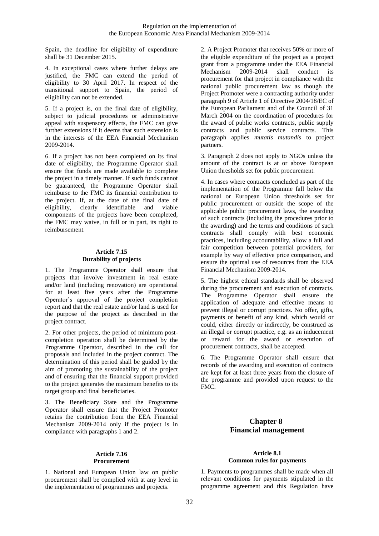Spain, the deadline for eligibility of expenditure shall be 31 December 2015.

4. In exceptional cases where further delays are justified, the FMC can extend the period of eligibility to 30 April 2017. In respect of the transitional support to Spain, the period of eligibility can not be extended.

5. If a project is, on the final date of eligibility, subject to judicial procedures or administrative appeal with suspensory effects, the FMC can give further extensions if it deems that such extension is in the interests of the EEA Financial Mechanism 2009-2014.

6. If a project has not been completed on its final date of eligibility, the Programme Operator shall ensure that funds are made available to complete the project in a timely manner. If such funds cannot be guaranteed, the Programme Operator shall reimburse to the FMC its financial contribution to the project. If, at the date of the final date of eligibility, clearly identifiable and viable components of the projects have been completed, the FMC may waive, in full or in part, its right to reimbursement.

# **Article 7.15 Durability of projects**

<span id="page-31-0"></span>1. The Programme Operator shall ensure that projects that involve investment in real estate and/or land (including renovation) are operational for at least five years after the Programme Operator's approval of the project completion report and that the real estate and/or land is used for the purpose of the project as described in the project contract.

2. For other projects, the period of minimum postcompletion operation shall be determined by the Programme Operator, described in the call for proposals and included in the project contract. The determination of this period shall be guided by the aim of promoting the sustainability of the project and of ensuring that the financial support provided to the project generates the maximum benefits to its target group and final beneficiaries.

3. The Beneficiary State and the Programme Operator shall ensure that the Project Promoter retains the contribution from the EEA Financial Mechanism 2009-2014 only if the project is in compliance with paragraphs 1 and 2.

#### **Article 7.16 Procurement**

<span id="page-31-1"></span>1. National and European Union law on public procurement shall be complied with at any level in the implementation of programmes and projects.

2. A Project Promoter that receives 50% or more of the eligible expenditure of the project as a project grant from a programme under the EEA Financial Mechanism 2009-2014 shall conduct its procurement for that project in compliance with the national public procurement law as though the Project Promoter were a contracting authority under paragraph 9 of Article 1 of Directive 2004/18/EC of the European Parliament and of the Council of 31 March 2004 on the coordination of procedures for the award of public works contracts, public supply contracts and public service contracts. This paragraph applies *mutatis mutandis* to project partners.

3. Paragraph 2 does not apply to NGOs unless the amount of the contract is at or above European Union thresholds set for public procurement.

4. In cases where contracts concluded as part of the implementation of the Programme fall below the national or European Union thresholds set for public procurement or outside the scope of the applicable public procurement laws, the awarding of such contracts (including the procedures prior to the awarding) and the terms and conditions of such contracts shall comply with best economic practices, including accountability, allow a full and fair competition between potential providers, for example by way of effective price comparison, and ensure the optimal use of resources from the EEA Financial Mechanism 2009-2014.

5. The highest ethical standards shall be observed during the procurement and execution of contracts. The Programme Operator shall ensure the application of adequate and effective means to prevent illegal or corrupt practices. No offer, gifts, payments or benefit of any kind, which would or could, either directly or indirectly, be construed as an illegal or corrupt practice, e.g. as an inducement or reward for the award or execution of procurement contracts, shall be accepted.

6. The Programme Operator shall ensure that records of the awarding and execution of contracts are kept for at least three years from the closure of the programme and provided upon request to the FMC.

# <span id="page-31-2"></span>**Chapter 8: Financial management**

#### **Article 8.1 Common rules for payments**

<span id="page-31-3"></span>1. Payments to programmes shall be made when all relevant conditions for payments stipulated in the programme agreement and this Regulation have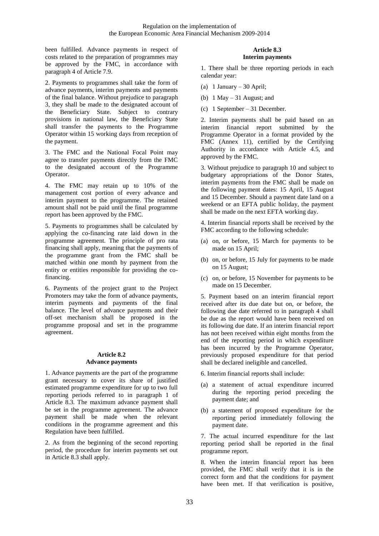been fulfilled. Advance payments in respect of costs related to the preparation of programmes may be approved by the FMC, in accordance with paragraph 4 of Article 7.9.

2. Payments to programmes shall take the form of advance payments, interim payments and payments of the final balance. Without prejudice to paragraph 3, they shall be made to the designated account of the Beneficiary State. Subject to contrary provisions in national law, the Beneficiary State shall transfer the payments to the Programme Operator within 15 working days from reception of the payment.

3. The FMC and the National Focal Point may agree to transfer payments directly from the FMC to the designated account of the Programme Operator.

4. The FMC may retain up to 10% of the management cost portion of every advance and interim payment to the programme. The retained amount shall not be paid until the final programme report has been approved by the FMC.

5. Payments to programmes shall be calculated by applying the co-financing rate laid down in the programme agreement. The principle of pro rata financing shall apply, meaning that the payments of the programme grant from the FMC shall be matched within one month by payment from the entity or entities responsible for providing the cofinancing.

6. Payments of the project grant to the Project Promoters may take the form of advance payments, interim payments and payments of the final balance. The level of advance payments and their off-set mechanism shall be proposed in the programme proposal and set in the programme agreement.

# **Article 8.2**

# **Advance payments**

<span id="page-32-0"></span>1. Advance payments are the part of the programme grant necessary to cover its share of justified estimated programme expenditure for up to two full reporting periods referred to in paragraph 1 of Article 8.3. The maximum advance payment shall be set in the programme agreement. The advance payment shall be made when the relevant conditions in the programme agreement and this Regulation have been fulfilled.

2. As from the beginning of the second reporting period, the procedure for interim payments set out in Article 8.3 shall apply.

# **Article 8.3 Interim payments**

<span id="page-32-1"></span>1. There shall be three reporting periods in each calendar year:

- (a) 1 January 30 April;
- (b)  $1$  May 31 August; and
- (c) 1 September 31 December.

2. Interim payments shall be paid based on an interim financial report submitted by the Programme Operator in a format provided by the FMC (Annex 11), certified by the Certifying Authority in accordance with Article 4.5, and approved by the FMC.

3. Without prejudice to paragraph 10 and subject to budgetary appropriations of the Donor States, interim payments from the FMC shall be made on the following payment dates: 15 April, 15 August and 15 December. Should a payment date land on a weekend or an EFTA public holiday, the payment shall be made on the next EFTA working day.

4. Interim financial reports shall be received by the FMC according to the following schedule:

- (a) on, or before, 15 March for payments to be made on 15 April;
- (b) on, or before, 15 July for payments to be made on 15 August;
- (c) on, or before, 15 November for payments to be made on 15 December.

5. Payment based on an interim financial report received after its due date but on, or before, the following due date referred to in paragraph 4 shall be due as the report would have been received on its following due date. If an interim financial report has not been received within eight months from the end of the reporting period in which expenditure has been incurred by the Programme Operator, previously proposed expenditure for that period shall be declared ineligible and cancelled.

6. Interim financial reports shall include:

- (a) a statement of actual expenditure incurred during the reporting period preceding the payment date; and
- (b) a statement of proposed expenditure for the reporting period immediately following the payment date.

7. The actual incurred expenditure for the last reporting period shall be reported in the final programme report.

8. When the interim financial report has been provided, the FMC shall verify that it is in the correct form and that the conditions for payment have been met. If that verification is positive,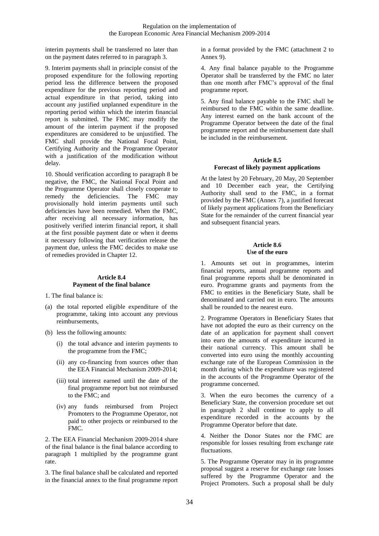interim payments shall be transferred no later than on the payment dates referred to in paragraph 3.

9. Interim payments shall in principle consist of the proposed expenditure for the following reporting period less the difference between the proposed expenditure for the previous reporting period and actual expenditure in that period, taking into account any justified unplanned expenditure in the reporting period within which the interim financial report is submitted. The FMC may modify the amount of the interim payment if the proposed expenditures are considered to be unjustified. The FMC shall provide the National Focal Point, Certifying Authority and the Programme Operator with a justification of the modification without delay.

10. Should verification according to paragraph 8 be negative, the FMC, the National Focal Point and the Programme Operator shall closely cooperate to remedy the deficiencies. The FMC may provisionally hold interim payments until such deficiencies have been remedied. When the FMC, after receiving all necessary information, has positively verified interim financial report, it shall at the first possible payment date or when it deems it necessary following that verification release the payment due, unless the FMC decides to make use of remedies provided in Chapter 12.

# **Article 8.4 Payment of the final balance**

<span id="page-33-0"></span>1. The final balance is:

- (a) the total reported eligible expenditure of the programme, taking into account any previous reimbursements,
- (b) less the following amounts:
	- (i) the total advance and interim payments to the programme from the FMC;
	- (ii) any co-financing from sources other than the EEA Financial Mechanism 2009-2014;
	- (iii) total interest earned until the date of the final programme report but not reimbursed to the FMC; and
	- (iv) any funds reimbursed from Project Promoters to the Programme Operator, not paid to other projects or reimbursed to the FMC.

2. The EEA Financial Mechanism 2009-2014 share of the final balance is the final balance according to paragraph 1 multiplied by the programme grant rate.

3. The final balance shall be calculated and reported in the financial annex to the final programme report in a format provided by the FMC (attachment 2 to Annex 9).

4. Any final balance payable to the Programme Operator shall be transferred by the FMC no later than one month after FMC's approval of the final programme report.

5. Any final balance payable to the FMC shall be reimbursed to the FMC within the same deadline. Any interest earned on the bank account of the Programme Operator between the date of the final programme report and the reimbursement date shall be included in the reimbursement.

#### <span id="page-33-1"></span>**Article 8.5 Forecast of likely payment applications**

At the latest by 20 February, 20 May, 20 September and 10 December each year, the Certifying Authority shall send to the FMC, in a format provided by the FMC (Annex 7), a justified forecast of likely payment applications from the Beneficiary State for the remainder of the current financial year and subsequent financial years.

### **Article 8.6 Use of the euro**

<span id="page-33-2"></span>1. Amounts set out in programmes, interim financial reports, annual programme reports and final programme reports shall be denominated in euro. Programme grants and payments from the FMC to entities in the Beneficiary State, shall be denominated and carried out in euro. The amounts shall be rounded to the nearest euro.

2. Programme Operators in Beneficiary States that have not adopted the euro as their currency on the date of an application for payment shall convert into euro the amounts of expenditure incurred in their national currency. This amount shall be converted into euro using the monthly accounting exchange rate of the European Commission in the month during which the expenditure was registered in the accounts of the Programme Operator of the programme concerned.

3. When the euro becomes the currency of a Beneficiary State, the conversion procedure set out in paragraph 2 shall continue to apply to all expenditure recorded in the accounts by the Programme Operator before that date.

4. Neither the Donor States nor the FMC are responsible for losses resulting from exchange rate fluctuations.

5. The Programme Operator may in its programme proposal suggest a reserve for exchange rate losses suffered by the Programme Operator and the Project Promoters. Such a proposal shall be duly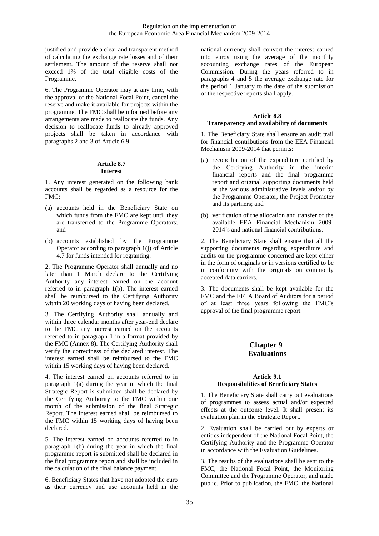justified and provide a clear and transparent method of calculating the exchange rate losses and of their settlement. The amount of the reserve shall not exceed 1% of the total eligible costs of the Programme.

6. The Programme Operator may at any time, with the approval of the National Focal Point, cancel the reserve and make it available for projects within the programme. The FMC shall be informed before any arrangements are made to reallocate the funds. Any decision to reallocate funds to already approved projects shall be taken in accordance with paragraphs 2 and 3 of Article 6.9.

### **Article 8.7 Interest**

<span id="page-34-0"></span>1. Any interest generated on the following bank accounts shall be regarded as a resource for the FMC:

- (a) accounts held in the Beneficiary State on which funds from the FMC are kept until they are transferred to the Programme Operators; and
- (b) accounts established by the Programme Operator according to paragraph 1(j) of Article 4.7 for funds intended for regranting.

2. The Programme Operator shall annually and no later than 1 March declare to the Certifying Authority any interest earned on the account referred to in paragraph 1(b). The interest earned shall be reimbursed to the Certifying Authority within 20 working days of having been declared.

3. The Certifying Authority shall annually and within three calendar months after year-end declare to the FMC any interest earned on the accounts referred to in paragraph 1 in a format provided by the FMC (Annex 8). The Certifying Authority shall verify the correctness of the declared interest. The interest earned shall be reimbursed to the FMC within 15 working days of having been declared.

4. The interest earned on accounts referred to in paragraph 1(a) during the year in which the final Strategic Report is submitted shall be declared by the Certifying Authority to the FMC within one month of the submission of the final Strategic Report. The interest earned shall be reimbursed to the FMC within 15 working days of having been declared.

5. The interest earned on accounts referred to in paragraph 1(b) during the year in which the final programme report is submitted shall be declared in the final programme report and shall be included in the calculation of the final balance payment.

6. Beneficiary States that have not adopted the euro as their currency and use accounts held in the national currency shall convert the interest earned into euros using the average of the monthly accounting exchange rates of the European Commission. During the years referred to in paragraphs 4 and 5 the average exchange rate for the period 1 January to the date of the submission of the respective reports shall apply.

#### **Article 8.8**

#### <span id="page-34-1"></span>**Transparency and availability of documents**

1. The Beneficiary State shall ensure an audit trail for financial contributions from the EEA Financial Mechanism 2009-2014 that permits:

- (a) reconciliation of the expenditure certified by the Certifying Authority in the interim financial reports and the final programme report and original supporting documents held at the various administrative levels and/or by the Programme Operator, the Project Promoter and its partners; and
- (b) verification of the allocation and transfer of the available EEA Financial Mechanism 2009- 2014's and national financial contributions.

2. The Beneficiary State shall ensure that all the supporting documents regarding expenditure and audits on the programme concerned are kept either in the form of originals or in versions certified to be in conformity with the originals on commonly accepted data carriers.

3. The documents shall be kept available for the FMC and the EFTA Board of Auditors for a period of at least three years following the FMC's approval of the final programme report.

# **Chapter 9: Evaluations**

#### <span id="page-34-3"></span><span id="page-34-2"></span>**Article 9.1 Responsibilities of Beneficiary States**

1. The Beneficiary State shall carry out evaluations of programmes to assess actual and/or expected effects at the outcome level. It shall present its evaluation plan in the Strategic Report.

2. Evaluation shall be carried out by experts or entities independent of the National Focal Point, the Certifying Authority and the Programme Operator in accordance with the Evaluation Guidelines.

3. The results of the evaluations shall be sent to the FMC, the National Focal Point, the Monitoring Committee and the Programme Operator, and made public. Prior to publication, the FMC, the National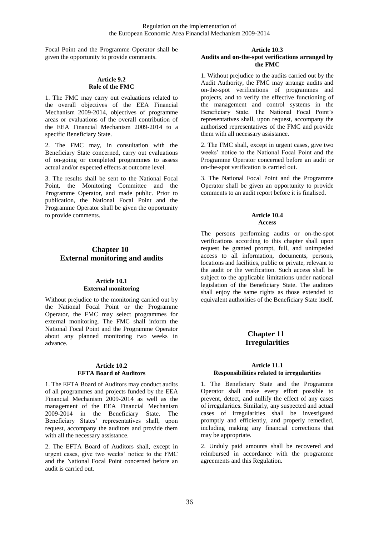Focal Point and the Programme Operator shall be given the opportunity to provide comments.

#### **Article 9.2 Role of the FMC**

<span id="page-35-0"></span>1. The FMC may carry out evaluations related to the overall objectives of the EEA Financial Mechanism 2009-2014, objectives of programme areas or evaluations of the overall contribution of the EEA Financial Mechanism 2009-2014 to a specific Beneficiary State.

2. The FMC may, in consultation with the Beneficiary State concerned, carry out evaluations of on-going or completed programmes to assess actual and/or expected effects at outcome level.

3. The results shall be sent to the National Focal Point, the Monitoring Committee and the Programme Operator, and made public. Prior to publication, the National Focal Point and the Programme Operator shall be given the opportunity to provide comments.

# <span id="page-35-1"></span>**Chapter 10: External monitoring and audits**

#### **Article 10.1 External monitoring**

<span id="page-35-2"></span>Without prejudice to the monitoring carried out by the National Focal Point or the Programme Operator, the FMC may select programmes for external monitoring. The FMC shall inform the National Focal Point and the Programme Operator about any planned monitoring two weeks in advance.

#### **Article 10.2 EFTA Board of Auditors**

<span id="page-35-3"></span>1. The EFTA Board of Auditors may conduct audits of all programmes and projects funded by the EEA Financial Mechanism 2009-2014 as well as the management of the EEA Financial Mechanism 2009-2014 in the Beneficiary State. The Beneficiary States' representatives shall, upon request, accompany the auditors and provide them with all the necessary assistance.

2. The EFTA Board of Auditors shall, except in urgent cases, give two weeks' notice to the FMC and the National Focal Point concerned before an audit is carried out.

#### <span id="page-35-4"></span>**Article 10.3 Audits and on-the-spot verifications arranged by the FMC**

1. Without prejudice to the audits carried out by the Audit Authority, the FMC may arrange audits and on-the-spot verifications of programmes and projects, and to verify the effective functioning of the management and control systems in the Beneficiary State. The National Focal Point's representatives shall, upon request, accompany the authorised representatives of the FMC and provide them with all necessary assistance.

2. The FMC shall, except in urgent cases, give two weeks' notice to the National Focal Point and the Programme Operator concerned before an audit or on-the-spot verification is carried out.

3. The National Focal Point and the Programme Operator shall be given an opportunity to provide comments to an audit report before it is finalised.

#### **Article 10.4 Access**

<span id="page-35-5"></span>The persons performing audits or on-the-spot verifications according to this chapter shall upon request be granted prompt, full, and unimpeded access to all information, documents, persons, locations and facilities, public or private, relevant to the audit or the verification. Such access shall be subject to the applicable limitations under national legislation of the Beneficiary State. The auditors shall enjoy the same rights as those extended to equivalent authorities of the Beneficiary State itself.

# **Chapter 11: Irregularities**

# <span id="page-35-7"></span><span id="page-35-6"></span>**Article 11.1 Responsibilities related to irregularities**

1. The Beneficiary State and the Programme Operator shall make every effort possible to prevent, detect, and nullify the effect of any cases of irregularities. Similarly, any suspected and actual cases of irregularities shall be investigated promptly and efficiently, and properly remedied, including making any financial corrections that may be appropriate.

2. Unduly paid amounts shall be recovered and reimbursed in accordance with the programme agreements and this Regulation.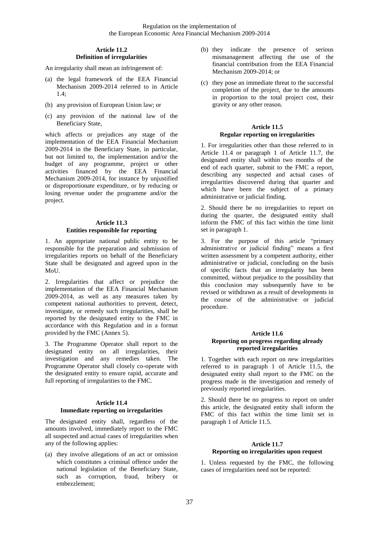#### **Article 11.2 Definition of irregularities**

<span id="page-36-0"></span>An irregularity shall mean an infringement of:

- (a) the legal framework of the EEA Financial Mechanism 2009-2014 referred to in Article 1.4;
- (b) any provision of European Union law; or
- (c) any provision of the national law of the Beneficiary State,

which affects or prejudices any stage of the implementation of the EEA Financial Mechanism 2009-2014 in the Beneficiary State, in particular, but not limited to, the implementation and/or the budget of any programme, project or other activities financed by the EEA Financial Mechanism 2009-2014, for instance by unjustified or disproportionate expenditure, or by reducing or losing revenue under the programme and/or the project.

#### **Article 11.3 Entities responsible for reporting**

<span id="page-36-1"></span>1. An appropriate national public entity to be responsible for the preparation and submission of irregularities reports on behalf of the Beneficiary State shall be designated and agreed upon in the MoU.

2. Irregularities that affect or prejudice the implementation of the EEA Financial Mechanism 2009-2014, as well as any measures taken by competent national authorities to prevent, detect, investigate, or remedy such irregularities, shall be reported by the designated entity to the FMC in accordance with this Regulation and in a format provided by the FMC (Annex 5).

3. The Programme Operator shall report to the designated entity on all irregularities, their investigation and any remedies taken. The Programme Operator shall closely co-operate with the designated entity to ensure rapid, accurate and full reporting of irregularities to the FMC.

#### <span id="page-36-2"></span>**Article 11.4 Immediate reporting on irregularities**

The designated entity shall, regardless of the amounts involved, immediately report to the FMC all suspected and actual cases of irregularities when any of the following applies:

(a) they involve allegations of an act or omission which constitutes a criminal offence under the national legislation of the Beneficiary State, such as corruption, fraud, bribery or embezzlement;

- (b) they indicate the presence of serious mismanagement affecting the use of the financial contribution from the EEA Financial Mechanism 2009-2014; or
- (c) they pose an immediate threat to the successful completion of the project, due to the amounts in proportion to the total project cost, their gravity or any other reason.

#### **Article 11.5 Regular reporting on irregularities**

<span id="page-36-3"></span>1. For irregularities other than those referred to in Article 11.4 or paragraph 1 of Article 11.7, the designated entity shall within two months of the end of each quarter, submit to the FMC a report, describing any suspected and actual cases of irregularities discovered during that quarter and which have been the subject of a primary administrative or judicial finding.

2. Should there be no irregularities to report on during the quarter, the designated entity shall inform the FMC of this fact within the time limit set in paragraph 1.

3. For the purpose of this article "primary administrative or judicial finding" means a first written assessment by a competent authority, either administrative or judicial, concluding on the basis of specific facts that an irregularity has been committed, without prejudice to the possibility that this conclusion may subsequently have to be revised or withdrawn as a result of developments in the course of the administrative or judicial procedure.

#### <span id="page-36-4"></span>**Article 11.6 Reporting on progress regarding already reported irregularities**

1. Together with each report on new irregularities referred to in paragraph 1 of Article 11.5, the designated entity shall report to the FMC on the progress made in the investigation and remedy of previously reported irregularities.

2. Should there be no progress to report on under this article, the designated entity shall inform the FMC of this fact within the time limit set in paragraph 1 of Article 11.5.

# <span id="page-36-5"></span>**Article 11.7 Reporting on irregularities upon request**

1. Unless requested by the FMC, the following cases of irregularities need not be reported: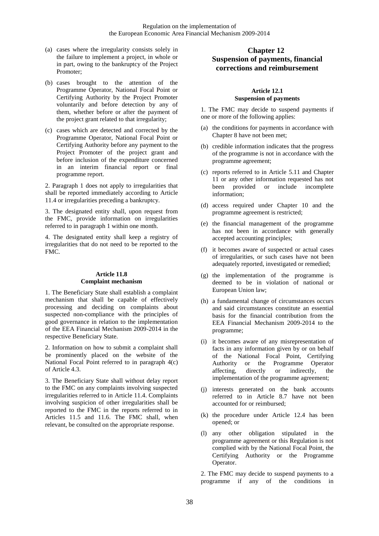- (a) cases where the irregularity consists solely in the failure to implement a project, in whole or in part, owing to the bankruptcy of the Project Promoter;
- (b) cases brought to the attention of the Programme Operator, National Focal Point or Certifying Authority by the Project Promoter voluntarily and before detection by any of them, whether before or after the payment of the project grant related to that irregularity;
- (c) cases which are detected and corrected by the Programme Operator, National Focal Point or Certifying Authority before any payment to the Project Promoter of the project grant and before inclusion of the expenditure concerned in an interim financial report or final programme report.

2. Paragraph 1 does not apply to irregularities that shall be reported immediately according to Article 11.4 or irregularities preceding a bankruptcy.

3. The designated entity shall, upon request from the FMC, provide information on irregularities referred to in paragraph 1 within one month.

4. The designated entity shall keep a registry of irregularities that do not need to be reported to the FMC.

#### **Article 11.8 Complaint mechanism**

<span id="page-37-0"></span>1. The Beneficiary State shall establish a complaint mechanism that shall be capable of effectively processing and deciding on complaints about suspected non-compliance with the principles of good governance in relation to the implementation of the EEA Financial Mechanism 2009-2014 in the respective Beneficiary State.

2. Information on how to submit a complaint shall be prominently placed on the website of the National Focal Point referred to in paragraph 4(c) of Article 4.3.

3. The Beneficiary State shall without delay report to the FMC on any complaints involving suspected irregularities referred to in Article 11.4. Complaints involving suspicion of other irregularities shall be reported to the FMC in the reports referred to in Articles 11.5 and 11.6. The FMC shall, when relevant, be consulted on the appropriate response.

# <span id="page-37-1"></span>**Chapter 12: Suspension of payments, financial corrections and reimbursement**

#### **Article 12.1 Suspension of payments**

<span id="page-37-2"></span>1. The FMC may decide to suspend payments if one or more of the following applies:

- (a) the conditions for payments in accordance with Chapter 8 have not been met;
- (b) credible information indicates that the progress of the programme is not in accordance with the programme agreement;
- (c) reports referred to in Article 5.11 and Chapter 11 or any other information requested has not been provided or include incomplete information;
- (d) access required under Chapter 10 and the programme agreement is restricted;
- (e) the financial management of the programme has not been in accordance with generally accepted accounting principles;
- (f) it becomes aware of suspected or actual cases of irregularities, or such cases have not been adequately reported, investigated or remedied;
- (g) the implementation of the programme is deemed to be in violation of national or European Union law;
- (h) a fundamental change of circumstances occurs and said circumstances constitute an essential basis for the financial contribution from the EEA Financial Mechanism 2009-2014 to the programme;
- (i) it becomes aware of any misrepresentation of facts in any information given by or on behalf of the National Focal Point, Certifying Authority or the Programme Operator<br>affecting, directly or indirectly, the affecting, directly or indirectly, the implementation of the programme agreement;
- (j) interests generated on the bank accounts referred to in Article 8.7 have not been accounted for or reimbursed;
- (k) the procedure under Article 12.4 has been opened; or
- (l) any other obligation stipulated in the programme agreement or this Regulation is not complied with by the National Focal Point, the Certifying Authority or the Programme Operator.

2. The FMC may decide to suspend payments to a programme if any of the conditions in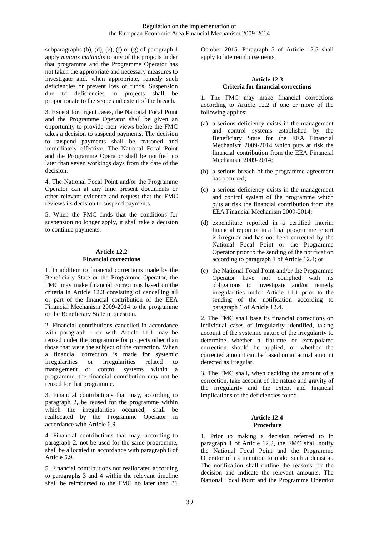subparagraphs (b), (d), (e), (f) or  $(g)$  of paragraph 1 apply *mutatis mutandis* to any of the projects under that programme and the Programme Operator has not taken the appropriate and necessary measures to investigate and, when appropriate, remedy such deficiencies or prevent loss of funds. Suspension due to deficiencies in projects shall be proportionate to the scope and extent of the breach.

3. Except for urgent cases, the National Focal Point and the Programme Operator shall be given an opportunity to provide their views before the FMC takes a decision to suspend payments. The decision to suspend payments shall be reasoned and immediately effective. The National Focal Point and the Programme Operator shall be notified no later than seven workings days from the date of the decision.

4. The National Focal Point and/or the Programme Operator can at any time present documents or other relevant evidence and request that the FMC reviews its decision to suspend payments.

5. When the FMC finds that the conditions for suspension no longer apply, it shall take a decision to continue payments.

# **Article 12.2 Financial corrections**

<span id="page-38-0"></span>1. In addition to financial corrections made by the Beneficiary State or the Programme Operator, the FMC may make financial corrections based on the criteria in Article 12.3 consisting of cancelling all or part of the financial contribution of the EEA Financial Mechanism 2009-2014 to the programme or the Beneficiary State in question.

2. Financial contributions cancelled in accordance with paragraph 1 or with Article 11.1 may be reused under the programme for projects other than those that were the subject of the correction. When a financial correction is made for systemic irregularities or irregularities related to management or control systems within a programme, the financial contribution may not be reused for that programme.

3. Financial contributions that may, according to paragraph 2, be reused for the programme within which the irregularities occurred, shall be reallocated by the Programme Operator in accordance with Article 6.9.

4. Financial contributions that may, according to paragraph 2, not be used for the same programme, shall be allocated in accordance with paragraph 8 of Article 5.9.

5. Financial contributions not reallocated according to paragraphs 3 and 4 within the relevant timeline shall be reimbursed to the FMC no later than 31

October 2015. Paragraph 5 of Article 12.5 shall apply to late reimbursements.

# **Article 12.3 Criteria for financial corrections**

<span id="page-38-1"></span>1. The FMC may make financial corrections according to Article 12.2 if one or more of the following applies:

- (a) a serious deficiency exists in the management and control systems established by the Beneficiary State for the EEA Financial Mechanism 2009-2014 which puts at risk the financial contribution from the EEA Financial Mechanism 2009-2014;
- (b) a serious breach of the programme agreement has occurred;
- (c) a serious deficiency exists in the management and control system of the programme which puts at risk the financial contribution from the EEA Financial Mechanism 2009-2014;
- (d) expenditure reported in a certified interim financial report or in a final programme report is irregular and has not been corrected by the National Focal Point or the Programme Operator prior to the sending of the notification according to paragraph 1 of Article 12.4; or
- (e) the National Focal Point and/or the Programme Operator have not complied with its obligations to investigate and/or remedy irregularities under Article 11.1 prior to the sending of the notification according to paragraph 1 of Article 12.4.

2. The FMC shall base its financial corrections on individual cases of irregularity identified, taking account of the systemic nature of the irregularity to determine whether a flat-rate or extrapolated correction should be applied, or whether the corrected amount can be based on an actual amount detected as irregular.

3. The FMC shall, when deciding the amount of a correction, take account of the nature and gravity of the irregularity and the extent and financial implications of the deficiencies found.

#### **Article 12.4 Procedure**

<span id="page-38-2"></span>1. Prior to making a decision referred to in paragraph 1 of Article 12.2, the FMC shall notify the National Focal Point and the Programme Operator of its intention to make such a decision. The notification shall outline the reasons for the decision and indicate the relevant amounts. The National Focal Point and the Programme Operator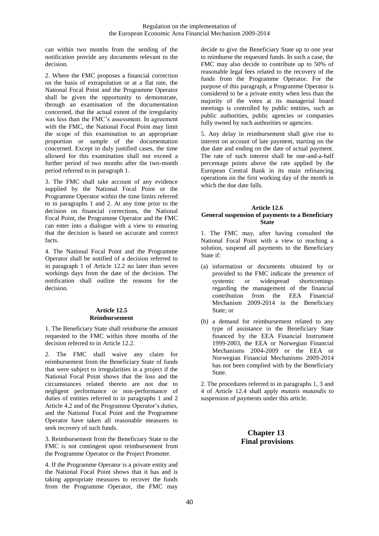can within two months from the sending of the notification provide any documents relevant to the decision.

2. Where the FMC proposes a financial correction on the basis of extrapolation or at a flat rate, the National Focal Point and the Programme Operator shall be given the opportunity to demonstrate, through an examination of the documentation concerned, that the actual extent of the irregularity was less than the FMC's assessment. In agreement with the FMC, the National Focal Point may limit the scope of this examination to an appropriate proportion or sample of the documentation concerned. Except in duly justified cases, the time allowed for this examination shall not exceed a further period of two months after the two-month period referred to in paragraph 1.

3. The FMC shall take account of any evidence supplied by the National Focal Point or the Programme Operator within the time limits referred to in paragraphs 1 and 2. At any time prior to the decision on financial corrections, the National Focal Point, the Programme Operator and the FMC can enter into a dialogue with a view to ensuring that the decision is based on accurate and correct facts.

4. The National Focal Point and the Programme Operator shall be notified of a decision referred to in paragraph 1 of Article 12.2 no later than seven workings days from the date of the decision. The notification shall outline the reasons for the decision.

# **Article 12.5 Reimbursement**

<span id="page-39-0"></span>1. The Beneficiary State shall reimburse the amount requested to the FMC within three months of the decision referred to in Article 12.2.

2. The FMC shall waive any claim for reimbursement from the Beneficiary State of funds that were subject to irregularities in a project if the National Focal Point shows that the loss and the circumstances related thereto are not due to negligent performance or non-performance of duties of entities referred to in paragraphs 1 and 2 Article 4.2 and of the Programme Operator's duties, and the National Focal Point and the Programme Operator have taken all reasonable measures to seek recovery of such funds.

3. Reimbursement from the Beneficiary State to the FMC is not contingent upon reimbursement from the Programme Operator or the Project Promoter.

4. If the Programme Operator is a private entity and the National Focal Point shows that it has and is taking appropriate measures to recover the funds from the Programme Operator, the FMC may

decide to give the Beneficiary State up to one year to reimburse the requested funds. In such a case, the FMC may also decide to contribute up to 50% of reasonable legal fees related to the recovery of the funds from the Programme Operator. For the purpose of this paragraph, a Programme Operator is considered to be a private entity when less than the majority of the votes at its managerial board meetings is controlled by public entities, such as public authorities, public agencies or companies fully owned by such authorities or agencies.

5. Any delay in reimbursement shall give rise to interest on account of late payment, starting on the due date and ending on the date of actual payment. The rate of such interest shall be one-and-a-half percentage points above the rate applied by the European Central Bank in its main refinancing operations on the first working day of the month in which the due date falls.

#### <span id="page-39-1"></span>**Article 12.6 General suspension of payments to a Beneficiary State**

1. The FMC may, after having consulted the National Focal Point with a view to reaching a solution, suspend all payments to the Beneficiary State if:

- (a) information or documents obtained by or provided to the FMC indicate the presence of systemic or widespread shortcomings regarding the management of the financial contribution from the EEA Financial Mechanism 2009-2014 in the Beneficiary State; or
- (b) a demand for reimbursement related to any type of assistance in the Beneficiary State financed by the EEA Financial Instrument 1999-2003, the EEA or Norwegian Financial Mechanisms 2004-2009 or the EEA or Norwegian Financial Mechanisms 2009-2014 has not been complied with by the Beneficiary State.

2. The procedures referred to in paragraphs 1, 3 and 4 of Article 12.4 shall apply *mutatis mutandis* to suspension of payments under this article.

# <span id="page-39-2"></span>**Chapter 13: Final provisions**